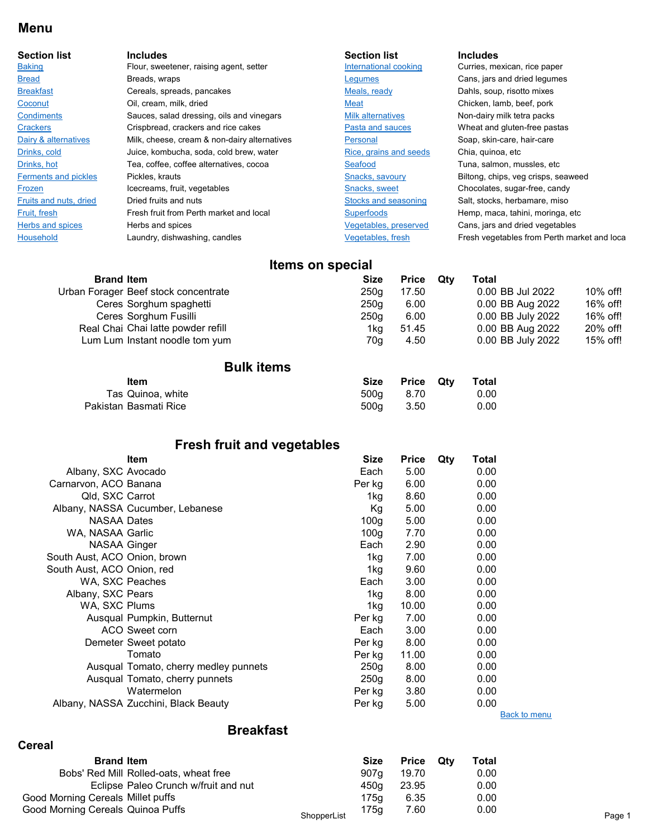#### Menu

| <b>Section list</b>         | <b>Includes</b>                              | <b>Section list</b>      | <b>Includes</b>                             |
|-----------------------------|----------------------------------------------|--------------------------|---------------------------------------------|
| <b>Baking</b>               | Flour, sweetener, raising agent, setter      | International cooking    | Curries, mexican, rice paper                |
| <b>Bread</b>                | Breads, wraps                                | Legumes                  | Cans, jars and dried legumes                |
| <b>Breakfast</b>            | Cereals, spreads, pancakes                   | Meals, ready             | Dahls, soup, risotto mixes                  |
| Coconut                     | Oil, cream, milk, dried                      | Meat                     | Chicken, lamb, beef, pork                   |
| <b>Condiments</b>           | Sauces, salad dressing, oils and vinegars    | <b>Milk alternatives</b> | Non-dairy milk tetra packs                  |
| <b>Crackers</b>             | Crispbread, crackers and rice cakes          | Pasta and sauces         | Wheat and gluten-free pastas                |
| Dairy & alternatives        | Milk, cheese, cream & non-dairy alternatives | Personal                 | Soap, skin-care, hair-care                  |
| Drinks, cold                | Juice, kombucha, soda, cold brew, water      | Rice, grains and seeds   | Chia, quinoa, etc                           |
| Drinks, hot                 | Tea, coffee, coffee alternatives, cocoa      | Seafood                  | Tuna, salmon, mussles, etc                  |
| <b>Ferments and pickles</b> | Pickles, krauts                              | Snacks, savoury          | Biltong, chips, veg crisps, seaweed         |
| Frozen                      | Icecreams, fruit, vegetables                 | Snacks, sweet            | Chocolates, sugar-free, candy               |
| Fruits and nuts, dried      | Dried fruits and nuts                        | Stocks and seasoning     | Salt, stocks, herbamare, miso               |
| Fruit, fresh                | Fresh fruit from Perth market and local      | <b>Superfoods</b>        | Hemp, maca, tahini, moringa, etc            |
| <b>Herbs and spices</b>     | Herbs and spices                             | Vegetables, preserved    | Cans, jars and dried vegetables             |
| <b>Household</b>            | Laundry, dishwashing, candles                | Vegetables, fresh        | Fresh vegetables from Perth market and loca |

# Items on special

| <b>Size</b> | <b>Price</b> | Qtv | Total             |             |
|-------------|--------------|-----|-------------------|-------------|
| 250a        | 17.50        |     | 0.00 BB Jul 2022  | $10\%$ off! |
| 250a        | 6.00         |     | 0.00 BB Aug 2022  | 16% off!    |
| 250a        | 6.00         |     | 0.00 BB July 2022 | 16% off!    |
| 1kg         | 51.45        |     | 0.00 BB Aug 2022  | 20% off!    |
| 70a         | 4.50         |     | 0.00 BB July 2022 | 15% off!    |
|             |              |     |                   |             |

#### Bulk items

| ltem                  |      | Size Price Qtv | Total |
|-----------------------|------|----------------|-------|
| Tas Quinoa, white     | 500a | 8.70           | 0.00  |
| Pakistan Basmati Rice | 500a | - 3.50         | 0.00  |

#### Item Size Price Oby Total Fresh fruit and vegetables

|                              | item                                  | <b>Size</b>      | <b>Price</b> | <b>Qty</b><br>i otal |                     |
|------------------------------|---------------------------------------|------------------|--------------|----------------------|---------------------|
| Albany, SXC Avocado          |                                       | Each             | 5.00         | 0.00                 |                     |
| Carnarvon, ACO Banana        |                                       | Per kg           | 6.00         | 0.00                 |                     |
| Qld, SXC Carrot              |                                       | 1ka              | 8.60         | 0.00                 |                     |
|                              | Albany, NASSA Cucumber, Lebanese      | Кg               | 5.00         | 0.00                 |                     |
| <b>NASAA Dates</b>           |                                       | 100q             | 5.00         | 0.00                 |                     |
| WA, NASAA Garlic             |                                       | 100 <sub>g</sub> | 7.70         | 0.00                 |                     |
| NASAA Ginger                 |                                       | Each             | 2.90         | 0.00                 |                     |
| South Aust, ACO Onion, brown |                                       | 1kg              | 7.00         | 0.00                 |                     |
| South Aust, ACO Onion, red   |                                       | 1kg              | 9.60         | 0.00                 |                     |
| WA, SXC Peaches              |                                       | Each             | 3.00         | 0.00                 |                     |
| Albany, SXC Pears            |                                       | 1kg              | 8.00         | 0.00                 |                     |
| WA, SXC Plums                |                                       | 1kg              | 10.00        | 0.00                 |                     |
|                              | Ausqual Pumpkin, Butternut            | Per kg           | 7.00         | 0.00                 |                     |
|                              | ACO Sweet corn                        | Each             | 3.00         | 0.00                 |                     |
|                              | Demeter Sweet potato                  | Per kg           | 8.00         | 0.00                 |                     |
|                              | Tomato                                | Per kg           | 11.00        | 0.00                 |                     |
|                              | Ausqual Tomato, cherry medley punnets | 250g             | 8.00         | 0.00                 |                     |
|                              | Ausqual Tomato, cherry punnets        | 250g             | 8.00         | 0.00                 |                     |
|                              | Watermelon                            | Per kg           | 3.80         | 0.00                 |                     |
|                              | Albany, NASSA Zucchini, Black Beauty  | Per kg           | 5.00         | 0.00                 |                     |
|                              |                                       |                  |              |                      | <b>Back to menu</b> |

#### Cereal

Breakfast

| <b>Brand Item</b>                 |                                        |             | <b>Size</b> | Price Qty | Total |
|-----------------------------------|----------------------------------------|-------------|-------------|-----------|-------|
|                                   | Bobs' Red Mill Rolled-oats, wheat free |             | 907a        | 19.70     | 0.00  |
|                                   | Eclipse Paleo Crunch w/fruit and nut   |             | 450a        | 23.95     | 0.00  |
| Good Morning Cereals Millet puffs |                                        |             | 175a        | 6.35      | 0.00  |
| Good Morning Cereals Quinoa Puffs |                                        | ShopperList | 175g        | 7.60      | 0.00  |
|                                   |                                        |             |             |           |       |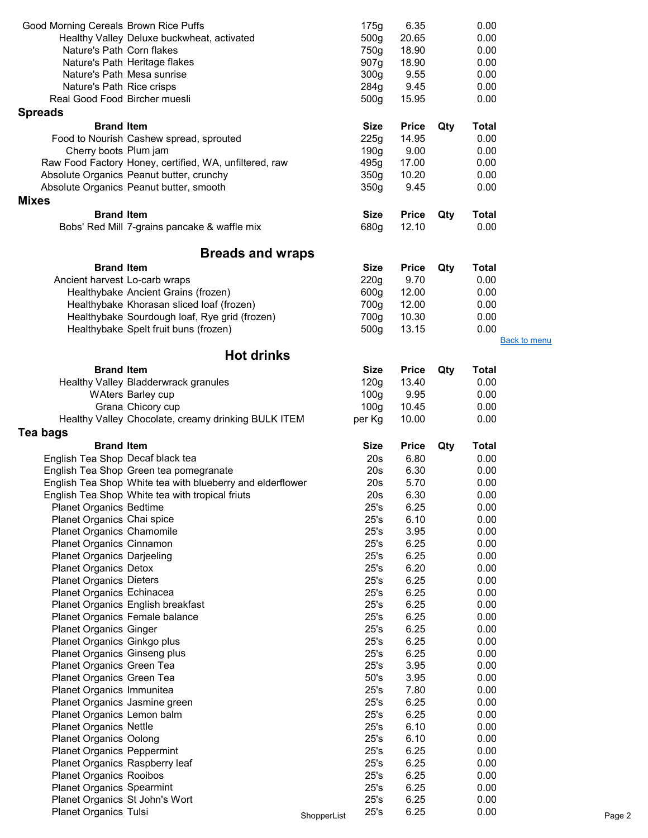| Good Morning Cereals Brown Rice Puffs |                                                           |             | 175g             | 6.35                 |     | 0.00         |                     |        |
|---------------------------------------|-----------------------------------------------------------|-------------|------------------|----------------------|-----|--------------|---------------------|--------|
|                                       | Healthy Valley Deluxe buckwheat, activated                |             | 500g             | 20.65                |     | 0.00         |                     |        |
| Nature's Path Corn flakes             |                                                           |             | 750g             | 18.90                |     | 0.00         |                     |        |
|                                       | Nature's Path Heritage flakes                             |             | 907g             | 18.90                |     | 0.00         |                     |        |
|                                       | Nature's Path Mesa sunrise                                |             | 300 <sub>g</sub> | 9.55                 |     | 0.00         |                     |        |
| Nature's Path Rice crisps             |                                                           |             | 284g             | 9.45                 |     | 0.00         |                     |        |
| Real Good Food Bircher muesli         |                                                           |             | 500g             | 15.95                |     | 0.00         |                     |        |
| <b>Spreads</b>                        |                                                           |             |                  |                      |     |              |                     |        |
| <b>Brand Item</b>                     |                                                           |             | <b>Size</b>      | <b>Price</b>         | Qty | <b>Total</b> |                     |        |
|                                       | Food to Nourish Cashew spread, sprouted                   |             | 225g             | 14.95                |     | 0.00         |                     |        |
| Cherry boots Plum jam                 |                                                           |             | 190g             | 9.00                 |     | 0.00         |                     |        |
|                                       | Raw Food Factory Honey, certified, WA, unfiltered, raw    |             | 495g             | 17.00                |     | 0.00         |                     |        |
|                                       | Absolute Organics Peanut butter, crunchy                  |             | 350 <sub>g</sub> | 10.20                |     | 0.00         |                     |        |
|                                       | Absolute Organics Peanut butter, smooth                   |             | 350 <sub>g</sub> | 9.45                 |     | 0.00         |                     |        |
| <b>Mixes</b>                          |                                                           |             |                  |                      |     |              |                     |        |
| <b>Brand Item</b>                     |                                                           |             | <b>Size</b>      | <b>Price</b>         | Qty | <b>Total</b> |                     |        |
|                                       | Bobs' Red Mill 7-grains pancake & waffle mix              |             | 680g             | 12.10                |     | 0.00         |                     |        |
|                                       | <b>Breads and wraps</b>                                   |             |                  |                      |     |              |                     |        |
| <b>Brand Item</b>                     |                                                           |             | <b>Size</b>      |                      | Qty | <b>Total</b> |                     |        |
| Ancient harvest Lo-carb wraps         |                                                           |             | 220g             | <b>Price</b><br>9.70 |     | 0.00         |                     |        |
|                                       | Healthybake Ancient Grains (frozen)                       |             | 600g             | 12.00                |     | 0.00         |                     |        |
|                                       | Healthybake Khorasan sliced loaf (frozen)                 |             | 700g             | 12.00                |     | 0.00         |                     |        |
|                                       | Healthybake Sourdough loaf, Rye grid (frozen)             |             | 700g             | 10.30                |     | 0.00         |                     |        |
|                                       | Healthybake Spelt fruit buns (frozen)                     |             | 500g             | 13.15                |     | 0.00         |                     |        |
|                                       |                                                           |             |                  |                      |     |              | <b>Back to menu</b> |        |
|                                       | <b>Hot drinks</b>                                         |             |                  |                      |     |              |                     |        |
| <b>Brand Item</b>                     |                                                           |             | <b>Size</b>      | <b>Price</b>         | Qty | <b>Total</b> |                     |        |
|                                       | Healthy Valley Bladderwrack granules                      |             | 120g             | 13.40                |     | 0.00         |                     |        |
|                                       | <b>WAters Barley cup</b>                                  |             | 100 <sub>g</sub> | 9.95                 |     | 0.00         |                     |        |
|                                       | Grana Chicory cup                                         |             | 100 <sub>g</sub> | 10.45                |     | 0.00         |                     |        |
|                                       | Healthy Valley Chocolate, creamy drinking BULK ITEM       |             | per Kg           | 10.00                |     | 0.00         |                     |        |
| Tea bags                              |                                                           |             |                  |                      |     |              |                     |        |
| <b>Brand Item</b>                     |                                                           |             | <b>Size</b>      | <b>Price</b>         | Qty | <b>Total</b> |                     |        |
| English Tea Shop Decaf black tea      |                                                           |             | 20s              | 6.80                 |     | 0.00         |                     |        |
|                                       | English Tea Shop Green tea pomegranate                    |             | 20s              | 6.30                 |     | 0.00         |                     |        |
|                                       | English Tea Shop White tea with blueberry and elderflower |             | 20s              | 5.70                 |     | 0.00         |                     |        |
|                                       | English Tea Shop White tea with tropical friuts           |             | 20s              | 6.30                 |     | 0.00         |                     |        |
| <b>Planet Organics Bedtime</b>        |                                                           |             | 25's             | 6.25                 |     | 0.00         |                     |        |
| Planet Organics Chai spice            |                                                           |             | 25's             | 6.10                 |     | 0.00         |                     |        |
| Planet Organics Chamomile             |                                                           |             | 25's             | 3.95                 |     | 0.00         |                     |        |
| Planet Organics Cinnamon              |                                                           |             | 25's             | 6.25                 |     | 0.00         |                     |        |
| <b>Planet Organics Darjeeling</b>     |                                                           |             | 25's             | 6.25                 |     | 0.00         |                     |        |
| <b>Planet Organics Detox</b>          |                                                           |             | 25's             | 6.20                 |     | 0.00         |                     |        |
| <b>Planet Organics Dieters</b>        |                                                           |             | 25's             | 6.25                 |     | 0.00         |                     |        |
| Planet Organics Echinacea             |                                                           |             | 25's             | 6.25                 |     | 0.00         |                     |        |
|                                       | Planet Organics English breakfast                         |             | 25's             | 6.25                 |     | 0.00         |                     |        |
|                                       | Planet Organics Female balance                            |             | 25's             | 6.25                 |     | 0.00         |                     |        |
| <b>Planet Organics Ginger</b>         |                                                           |             | 25's             | 6.25                 |     | 0.00         |                     |        |
| Planet Organics Ginkgo plus           |                                                           |             | 25's             | 6.25                 |     | 0.00         |                     |        |
| Planet Organics Ginseng plus          |                                                           |             | 25's             | 6.25                 |     | 0.00         |                     |        |
| Planet Organics Green Tea             |                                                           |             | 25's             | 3.95                 |     | 0.00         |                     |        |
| Planet Organics Green Tea             |                                                           |             | 50's             | 3.95                 |     | 0.00         |                     |        |
| Planet Organics Immunitea             |                                                           |             | 25's             | 7.80                 |     | 0.00         |                     |        |
| Planet Organics Jasmine green         |                                                           |             | 25's             | 6.25                 |     | 0.00         |                     |        |
| Planet Organics Lemon balm            |                                                           |             | 25's             | 6.25                 |     | 0.00         |                     |        |
| <b>Planet Organics Nettle</b>         |                                                           |             | 25's             | 6.10                 |     | 0.00         |                     |        |
| <b>Planet Organics Oolong</b>         |                                                           |             | 25's             | 6.10                 |     | 0.00         |                     |        |
| <b>Planet Organics Peppermint</b>     |                                                           |             | 25's             | 6.25                 |     | 0.00         |                     |        |
| Planet Organics Raspberry leaf        |                                                           |             | 25's             | 6.25                 |     | 0.00         |                     |        |
| <b>Planet Organics Rooibos</b>        |                                                           |             | 25's             | 6.25                 |     | 0.00         |                     |        |
| <b>Planet Organics Spearmint</b>      |                                                           |             | 25's             | 6.25                 |     | 0.00         |                     |        |
| Planet Organics St John's Wort        |                                                           |             | 25's             | 6.25                 |     | 0.00         |                     |        |
| Planet Organics Tulsi                 |                                                           | ShopperList | 25's             | 6.25                 |     | 0.00         |                     | Page 2 |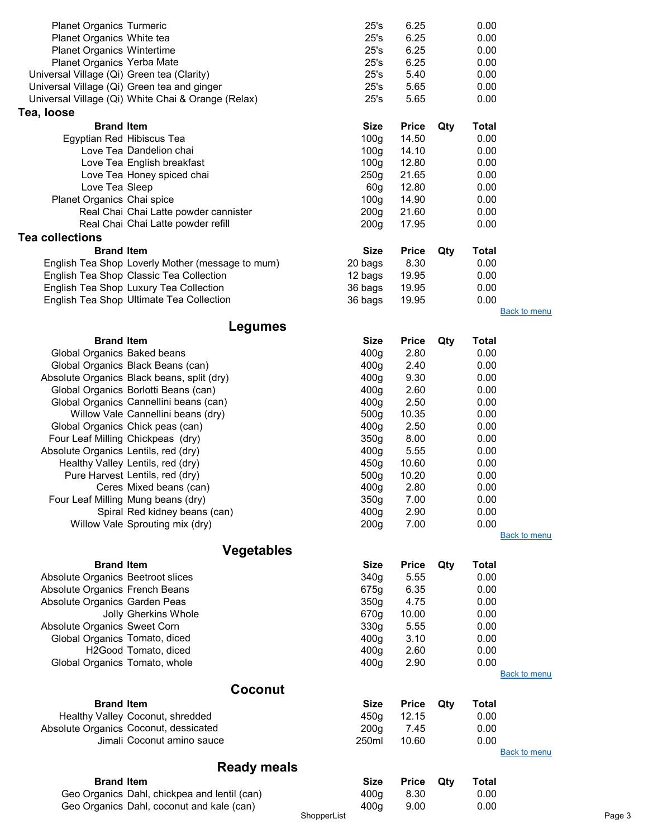| <b>Planet Organics Turmeric</b>            |                                                    | 25's             | 6.25         |     | 0.00         |                     |
|--------------------------------------------|----------------------------------------------------|------------------|--------------|-----|--------------|---------------------|
| Planet Organics White tea                  |                                                    | 25's             | 6.25         |     | 0.00         |                     |
| <b>Planet Organics Wintertime</b>          |                                                    | 25's             | 6.25         |     | 0.00         |                     |
| Planet Organics Yerba Mate                 |                                                    | 25's             | 6.25         |     | 0.00         |                     |
| Universal Village (Qi) Green tea (Clarity) |                                                    | 25's             | 5.40         |     | 0.00         |                     |
|                                            | Universal Village (Qi) Green tea and ginger        | 25's             | 5.65         |     | 0.00         |                     |
|                                            | Universal Village (Qi) White Chai & Orange (Relax) | 25's             | 5.65         |     | 0.00         |                     |
| Tea, Ioose                                 |                                                    |                  |              |     |              |                     |
|                                            |                                                    |                  |              |     |              |                     |
| <b>Brand Item</b>                          |                                                    | <b>Size</b>      | <b>Price</b> | Qty | <b>Total</b> |                     |
| Egyptian Red Hibiscus Tea                  |                                                    | 100 <sub>g</sub> | 14.50        |     | 0.00         |                     |
|                                            | Love Tea Dandelion chai                            | 100 <sub>g</sub> | 14.10        |     | 0.00         |                     |
|                                            | Love Tea English breakfast                         | 100 <sub>g</sub> | 12.80        |     | 0.00         |                     |
|                                            | Love Tea Honey spiced chai                         | 250g             | 21.65        |     | 0.00         |                     |
| Love Tea Sleep                             |                                                    | 60 <sub>g</sub>  | 12.80        |     | 0.00         |                     |
| Planet Organics Chai spice                 |                                                    | 100 <sub>g</sub> | 14.90        |     | 0.00         |                     |
|                                            | Real Chai Chai Latte powder cannister              | 200 <sub>g</sub> | 21.60        |     | 0.00         |                     |
|                                            | Real Chai Chai Latte powder refill                 | 200 <sub>g</sub> | 17.95        |     | 0.00         |                     |
| <b>Tea collections</b>                     |                                                    |                  |              |     |              |                     |
| <b>Brand Item</b>                          |                                                    | <b>Size</b>      | <b>Price</b> | Qty | <b>Total</b> |                     |
|                                            | English Tea Shop Loverly Mother (message to mum)   | 20 bags          | 8.30         |     | 0.00         |                     |
|                                            | English Tea Shop Classic Tea Collection            | 12 bags          | 19.95        |     | 0.00         |                     |
|                                            | English Tea Shop Luxury Tea Collection             |                  | 19.95        |     | 0.00         |                     |
|                                            |                                                    | 36 bags          |              |     |              |                     |
|                                            | English Tea Shop Ultimate Tea Collection           | 36 bags          | 19.95        |     | 0.00         | <b>Back to menu</b> |
|                                            |                                                    |                  |              |     |              |                     |
|                                            | Legumes                                            |                  |              |     |              |                     |
| <b>Brand Item</b>                          |                                                    | <b>Size</b>      | <b>Price</b> | Qty | <b>Total</b> |                     |
| Global Organics Baked beans                |                                                    | 400 <sub>g</sub> | 2.80         |     | 0.00         |                     |
|                                            | Global Organics Black Beans (can)                  | 400 <sub>g</sub> | 2.40         |     | 0.00         |                     |
|                                            | Absolute Organics Black beans, split (dry)         | 400 <sub>g</sub> | 9.30         |     | 0.00         |                     |
|                                            | Global Organics Borlotti Beans (can)               | 400 <sub>g</sub> | 2.60         |     | 0.00         |                     |
|                                            | Global Organics Cannellini beans (can)             | 400 <sub>g</sub> | 2.50         |     | 0.00         |                     |
|                                            | Willow Vale Cannellini beans (dry)                 | 500 <sub>g</sub> | 10.35        |     | 0.00         |                     |
|                                            | Global Organics Chick peas (can)                   | 400 <sub>g</sub> | 2.50         |     | 0.00         |                     |
|                                            | Four Leaf Milling Chickpeas (dry)                  | 350g             | 8.00         |     | 0.00         |                     |
| Absolute Organics Lentils, red (dry)       |                                                    | 400g             | 5.55         |     | 0.00         |                     |
|                                            | Healthy Valley Lentils, red (dry)                  | 450g             | 10.60        |     | 0.00         |                     |
|                                            | Pure Harvest Lentils, red (dry)                    | 500g             | 10.20        |     | 0.00         |                     |
|                                            | Ceres Mixed beans (can)                            | 400g             | 2.80         |     | 0.00         |                     |
|                                            | Four Leaf Milling Mung beans (dry)                 | 350g             | 7.00         |     | 0.00         |                     |
|                                            | Spiral Red kidney beans (can)                      |                  | 2.90         |     |              |                     |
|                                            | Willow Vale Sprouting mix (dry)                    | 400g             | 7.00         |     | 0.00<br>0.00 |                     |
|                                            |                                                    | 200 <sub>g</sub> |              |     |              | <b>Back to menu</b> |
|                                            |                                                    |                  |              |     |              |                     |
|                                            | <b>Vegetables</b>                                  |                  |              |     |              |                     |
| <b>Brand Item</b>                          |                                                    | <b>Size</b>      | <b>Price</b> | Qty | <b>Total</b> |                     |
| Absolute Organics Beetroot slices          |                                                    | 340g             | 5.55         |     | 0.00         |                     |
| Absolute Organics French Beans             |                                                    | 675g             | 6.35         |     | 0.00         |                     |
| Absolute Organics Garden Peas              |                                                    | 350g             | 4.75         |     | 0.00         |                     |
|                                            | Jolly Gherkins Whole                               | 670g             | 10.00        |     | 0.00         |                     |
| Absolute Organics Sweet Corn               |                                                    | 330g             | 5.55         |     | 0.00         |                     |
| Global Organics Tomato, diced              |                                                    | 400 <sub>g</sub> | 3.10         |     | 0.00         |                     |
|                                            | H2Good Tomato, diced                               | 400 <sub>g</sub> | 2.60         |     | 0.00         |                     |
| Global Organics Tomato, whole              |                                                    | 400g             | 2.90         |     | 0.00         |                     |
|                                            |                                                    |                  |              |     |              | <b>Back to menu</b> |
|                                            | Coconut                                            |                  |              |     |              |                     |
| <b>Brand Item</b>                          |                                                    | <b>Size</b>      | <b>Price</b> | Qty | <b>Total</b> |                     |
|                                            | Healthy Valley Coconut, shredded                   | 450g             | 12.15        |     | 0.00         |                     |
|                                            | Absolute Organics Coconut, dessicated              | 200 <sub>g</sub> | 7.45         |     | 0.00         |                     |
|                                            | Jimali Coconut amino sauce                         | 250ml            | 10.60        |     | 0.00         |                     |
|                                            |                                                    |                  |              |     |              | <b>Back to menu</b> |
|                                            |                                                    |                  |              |     |              |                     |
|                                            | <b>Ready meals</b>                                 |                  |              |     |              |                     |
| <b>Brand Item</b>                          |                                                    | <b>Size</b>      | <b>Price</b> | Qty | <b>Total</b> |                     |
|                                            | Geo Organics Dahl, chickpea and lentil (can)       | 400g             | 8.30         |     | 0.00         |                     |
|                                            | Geo Organics Dahl, coconut and kale (can)          | 400g             | 9.00         |     | 0.00         |                     |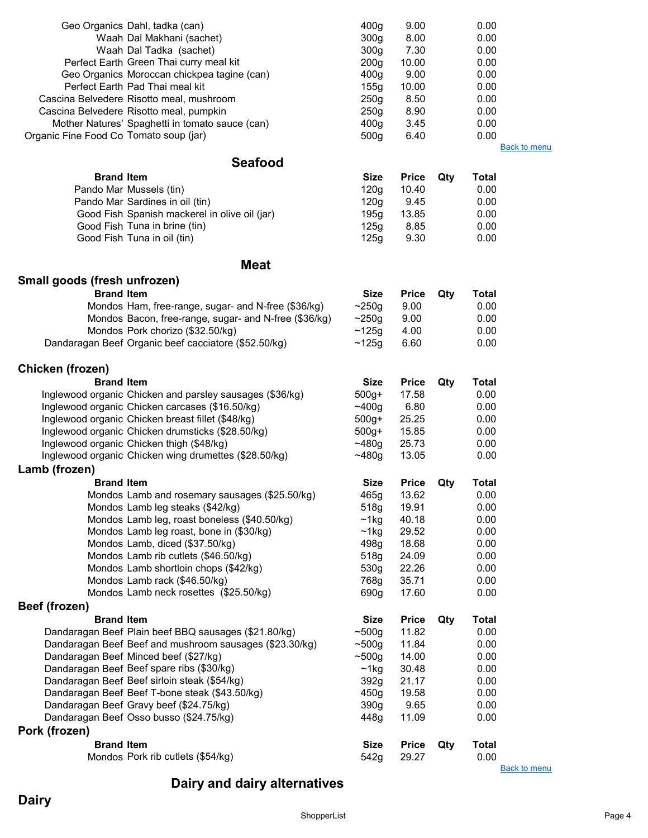|                                        | Geo Organics Dahl, tadka (can)                                          | 400 <sub>g</sub>                     | 9.00                  |     | 0.00                 |                     |
|----------------------------------------|-------------------------------------------------------------------------|--------------------------------------|-----------------------|-----|----------------------|---------------------|
|                                        | Waah Dal Makhani (sachet)                                               | 300 <sub>g</sub>                     | 8.00                  |     | 0.00                 |                     |
|                                        | Waah Dal Tadka (sachet)                                                 | 300 <sub>g</sub>                     | 7.30                  |     | 0.00                 |                     |
|                                        | Perfect Earth Green Thai curry meal kit                                 | 200 <sub>g</sub>                     | 10.00                 |     | 0.00                 |                     |
|                                        | Geo Organics Moroccan chickpea tagine (can)                             | 400 <sub>g</sub>                     | 9.00                  |     | 0.00                 |                     |
|                                        | Perfect Earth Pad Thai meal kit                                         | 155g                                 | 10.00                 |     | 0.00                 |                     |
|                                        | Cascina Belvedere Risotto meal, mushroom                                | 250g                                 | 8.50                  |     | 0.00                 |                     |
|                                        | Cascina Belvedere Risotto meal, pumpkin                                 | 250 <sub>g</sub>                     | 8.90<br>3.45          |     | 0.00<br>0.00         |                     |
| Organic Fine Food Co Tomato soup (jar) | Mother Natures' Spaghetti in tomato sauce (can)                         | 400 <sub>g</sub><br>500 <sub>g</sub> | 6.40                  |     | 0.00                 |                     |
|                                        |                                                                         |                                      |                       |     |                      | <b>Back to menu</b> |
|                                        | <b>Seafood</b>                                                          |                                      |                       |     |                      |                     |
| <b>Brand Item</b>                      |                                                                         |                                      |                       |     |                      |                     |
|                                        | Pando Mar Mussels (tin)                                                 | <b>Size</b><br>120g                  | <b>Price</b><br>10.40 | Qty | <b>Total</b><br>0.00 |                     |
|                                        | Pando Mar Sardines in oil (tin)                                         | 120g                                 | 9.45                  |     | 0.00                 |                     |
|                                        | Good Fish Spanish mackerel in olive oil (jar)                           | 195g                                 | 13.85                 |     | 0.00                 |                     |
|                                        | Good Fish Tuna in brine (tin)                                           | 125g                                 | 8.85                  |     | 0.00                 |                     |
|                                        | Good Fish Tuna in oil (tin)                                             | 125g                                 | 9.30                  |     | 0.00                 |                     |
|                                        |                                                                         |                                      |                       |     |                      |                     |
|                                        | <b>Meat</b>                                                             |                                      |                       |     |                      |                     |
| Small goods (fresh unfrozen)           |                                                                         |                                      |                       |     |                      |                     |
| <b>Brand Item</b>                      |                                                                         | <b>Size</b>                          | <b>Price</b>          | Qty | <b>Total</b>         |                     |
|                                        | Mondos Ham, free-range, sugar- and N-free (\$36/kg)                     | ~250g                                | 9.00                  |     | 0.00                 |                     |
|                                        | Mondos Bacon, free-range, sugar- and N-free (\$36/kg)                   | ~250g                                | 9.00                  |     | 0.00                 |                     |
|                                        | Mondos Pork chorizo (\$32.50/kg)                                        | ~125g                                | 4.00                  |     | 0.00                 |                     |
|                                        | Dandaragan Beef Organic beef cacciatore (\$52.50/kg)                    | ~125g                                | 6.60                  |     | 0.00                 |                     |
|                                        |                                                                         |                                      |                       |     |                      |                     |
| Chicken (frozen)                       |                                                                         |                                      |                       |     |                      |                     |
| <b>Brand Item</b>                      |                                                                         | <b>Size</b>                          | <b>Price</b>          | Qty | <b>Total</b>         |                     |
|                                        | Inglewood organic Chicken and parsley sausages (\$36/kg)                | $500g+$                              | 17.58                 |     | 0.00                 |                     |
|                                        | Inglewood organic Chicken carcases (\$16.50/kg)                         | ~100g                                | 6.80                  |     | 0.00                 |                     |
|                                        | Inglewood organic Chicken breast fillet (\$48/kg)                       | $500g+$                              | 25.25                 |     | 0.00                 |                     |
|                                        | Inglewood organic Chicken drumsticks (\$28.50/kg)                       | $500g+$                              | 15.85                 |     | 0.00                 |                     |
|                                        | Inglewood organic Chicken thigh (\$48/kg)                               | $-480g$                              | 25.73                 |     | 0.00                 |                     |
|                                        | Inglewood organic Chicken wing drumettes (\$28.50/kg)                   | $-480g$                              | 13.05                 |     | 0.00                 |                     |
| Lamb (frozen)                          |                                                                         |                                      |                       |     |                      |                     |
| <b>Brand Item</b>                      |                                                                         | <b>Size</b>                          | <b>Price</b>          | Qty | <b>Total</b>         |                     |
|                                        | Mondos Lamb and rosemary sausages (\$25.50/kg)                          | 465g                                 | 13.62                 |     | 0.00                 |                     |
|                                        | Mondos Lamb leg steaks (\$42/kg)                                        | 518g                                 | 19.91                 |     | 0.00                 |                     |
|                                        | Mondos Lamb leg, roast boneless (\$40.50/kg)                            | ~1kg                                 | 40.18                 |     | 0.00                 |                     |
|                                        | Mondos Lamb leg roast, bone in (\$30/kg)                                | $~1$ kg                              | 29.52                 |     | 0.00                 |                     |
|                                        | Mondos Lamb, diced (\$37.50/kg)<br>Mondos Lamb rib cutlets (\$46.50/kg) | 498q<br>518g                         | 18.68<br>24.09        |     | 0.00<br>0.00         |                     |
|                                        | Mondos Lamb shortloin chops (\$42/kg)                                   | 530g                                 | 22.26                 |     | 0.00                 |                     |
|                                        | Mondos Lamb rack (\$46.50/kg)                                           | 768g                                 | 35.71                 |     | 0.00                 |                     |
|                                        | Mondos Lamb neck rosettes (\$25.50/kg)                                  | 690g                                 | 17.60                 |     | 0.00                 |                     |
| Beef (frozen)                          |                                                                         |                                      |                       |     |                      |                     |
| <b>Brand Item</b>                      |                                                                         | <b>Size</b>                          | <b>Price</b>          | Qty | <b>Total</b>         |                     |
|                                        | Dandaragan Beef Plain beef BBQ sausages (\$21.80/kg)                    | ~500g                                | 11.82                 |     | 0.00                 |                     |
|                                        | Dandaragan Beef Beef and mushroom sausages (\$23.30/kg)                 | ~500g                                | 11.84                 |     | 0.00                 |                     |
|                                        | Dandaragan Beef Minced beef (\$27/kg)                                   | ~500g                                | 14.00                 |     | 0.00                 |                     |
|                                        | Dandaragan Beef Beef spare ribs (\$30/kg)                               | ~1kg                                 | 30.48                 |     | 0.00                 |                     |
|                                        | Dandaragan Beef Beef sirloin steak (\$54/kg)                            | 392g                                 | 21.17                 |     | 0.00                 |                     |
|                                        | Dandaragan Beef Beef T-bone steak (\$43.50/kg)                          | 450g                                 | 19.58                 |     | 0.00                 |                     |
|                                        | Dandaragan Beef Gravy beef (\$24.75/kg)                                 | 390g                                 | 9.65                  |     | 0.00                 |                     |
|                                        | Dandaragan Beef Osso busso (\$24.75/kg)                                 | 448g                                 | 11.09                 |     | 0.00                 |                     |
| Pork (frozen)                          |                                                                         |                                      |                       |     |                      |                     |
| <b>Brand Item</b>                      |                                                                         | <b>Size</b>                          | <b>Price</b>          | Qty | <b>Total</b>         |                     |
|                                        | Mondos Pork rib cutlets (\$54/kg)                                       | 542g                                 | 29.27                 |     | 0.00                 |                     |
|                                        |                                                                         |                                      |                       |     |                      | <b>Back to menu</b> |

# Dairy and dairy alternatives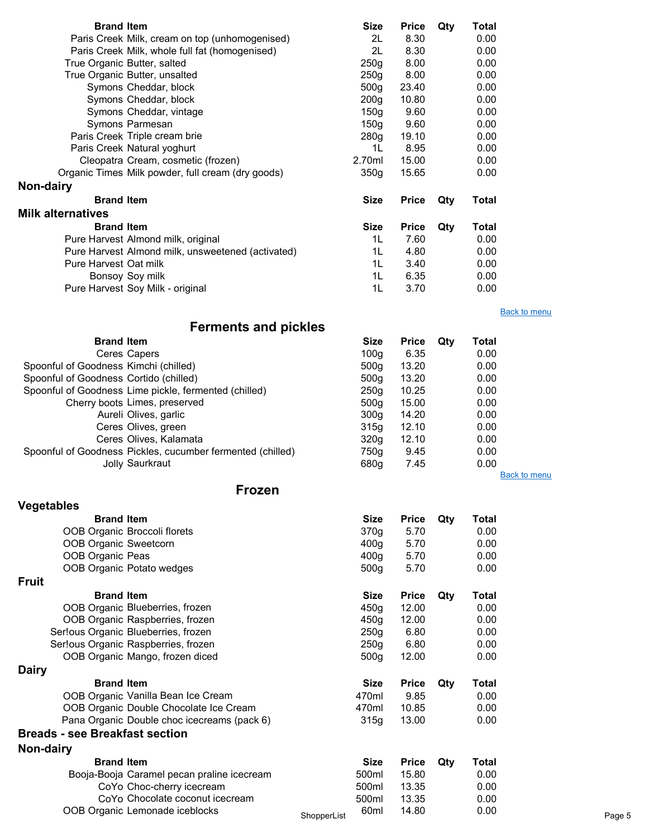| <b>Brand Item</b>        |                                                   | <b>Size</b>      | <b>Price</b> | Qty | Total |                     |
|--------------------------|---------------------------------------------------|------------------|--------------|-----|-------|---------------------|
|                          | Paris Creek Milk, cream on top (unhomogenised)    | 2L               | 8.30         |     | 0.00  |                     |
|                          | Paris Creek Milk, whole full fat (homogenised)    | 2L               | 8.30         |     | 0.00  |                     |
|                          | True Organic Butter, salted                       | 250q             | 8.00         |     | 0.00  |                     |
|                          | True Organic Butter, unsalted                     | 250g             | 8.00         |     | 0.00  |                     |
|                          | Symons Cheddar, block                             | 500 <sub>g</sub> | 23.40        |     | 0.00  |                     |
|                          | Symons Cheddar, block                             | 200 <sub>g</sub> | 10.80        |     | 0.00  |                     |
|                          | Symons Cheddar, vintage                           | 150 <sub>q</sub> | 9.60         |     | 0.00  |                     |
|                          | Symons Parmesan                                   | 150q             | 9.60         |     | 0.00  |                     |
|                          | Paris Creek Triple cream brie                     | 280 <sub>g</sub> | 19.10        |     | 0.00  |                     |
|                          | Paris Creek Natural yoghurt                       | 1L               | 8.95         |     | 0.00  |                     |
|                          | Cleopatra Cream, cosmetic (frozen)                | 2.70ml           | 15.00        |     | 0.00  |                     |
|                          | Organic Times Milk powder, full cream (dry goods) | 350q             | 15.65        |     | 0.00  |                     |
| Non-dairy                |                                                   |                  |              |     |       |                     |
| <b>Brand Item</b>        |                                                   | <b>Size</b>      | <b>Price</b> | Qty | Total |                     |
| <b>Milk alternatives</b> |                                                   |                  |              |     |       |                     |
| <b>Brand Item</b>        |                                                   | <b>Size</b>      | <b>Price</b> | Qty | Total |                     |
|                          | Pure Harvest Almond milk, original                | 1L               | 7.60         |     | 0.00  |                     |
|                          | Pure Harvest Almond milk, unsweetened (activated) | 1L               | 4.80         |     | 0.00  |                     |
| Pure Harvest Oat milk    |                                                   | 1L               | 3.40         |     | 0.00  |                     |
|                          | Bonsoy Soy milk                                   | 1L               | 6.35         |     | 0.00  |                     |
|                          | Pure Harvest Soy Milk - original                  | 1L               | 3.70         |     | 0.00  |                     |
|                          |                                                   |                  |              |     |       | <b>Back to menu</b> |

# Ferments and pickles

| <b>Brand Item</b>                      |                                                            | <b>Size</b>      | <b>Price</b> | Qtv | Total        |  |
|----------------------------------------|------------------------------------------------------------|------------------|--------------|-----|--------------|--|
|                                        | Ceres Capers                                               | 100 <sub>g</sub> | 6.35         |     | 0.00         |  |
| Spoonful of Goodness Kimchi (chilled)  |                                                            | 500 <sub>a</sub> | 13.20        |     | 0.00         |  |
| Spoonful of Goodness Cortido (chilled) |                                                            | 500 <sub>q</sub> | 13.20        |     | 0.00         |  |
|                                        | Spoonful of Goodness Lime pickle, fermented (chilled)      | 250 <sub>g</sub> | 10.25        |     | 0.00         |  |
|                                        | Cherry boots Limes, preserved                              | 500 <sub>q</sub> | 15.00        |     | 0.00         |  |
|                                        | Aureli Olives, garlic                                      | 300 <sub>q</sub> | 14.20        |     | 0.00         |  |
|                                        | Ceres Olives, green                                        | 315g             | 12.10        |     | 0.00         |  |
|                                        | Ceres Olives, Kalamata                                     | 320 <sub>g</sub> | 12.10        |     | 0.00         |  |
|                                        | Spoonful of Goodness Pickles, cucumber fermented (chilled) | 750g             | 9.45         |     | 0.00         |  |
|                                        | Jolly Saurkraut                                            | 680g             | 7.45         |     | 0.00         |  |
|                                        |                                                            |                  |              |     | Back to menu |  |

#### Frozen

| <b>Vegetables</b>                           |             |                  |              |     |       |        |
|---------------------------------------------|-------------|------------------|--------------|-----|-------|--------|
| <b>Brand Item</b>                           |             | <b>Size</b>      | <b>Price</b> | Qty | Total |        |
| OOB Organic Broccoli florets                |             | 370g             | 5.70         |     | 0.00  |        |
| OOB Organic Sweetcorn                       |             | 400 <sub>g</sub> | 5.70         |     | 0.00  |        |
| OOB Organic Peas                            |             | 400 <sub>g</sub> | 5.70         |     | 0.00  |        |
| OOB Organic Potato wedges                   |             | 500 <sub>g</sub> | 5.70         |     | 0.00  |        |
| <b>Fruit</b>                                |             |                  |              |     |       |        |
| <b>Brand Item</b>                           |             | <b>Size</b>      | <b>Price</b> | Qty | Total |        |
| OOB Organic Blueberries, frozen             |             | 450g             | 12.00        |     | 0.00  |        |
| OOB Organic Raspberries, frozen             |             | 450g             | 12.00        |     | 0.00  |        |
| Ser!ous Organic Blueberries, frozen         |             | 250g             | 6.80         |     | 0.00  |        |
| Ser!ous Organic Raspberries, frozen         |             | 250g             | 6.80         |     | 0.00  |        |
| OOB Organic Mango, frozen diced             |             | 500g             | 12.00        |     | 0.00  |        |
| <b>Dairy</b>                                |             |                  |              |     |       |        |
| <b>Brand Item</b>                           |             | <b>Size</b>      | <b>Price</b> | Qty | Total |        |
| OOB Organic Vanilla Bean Ice Cream          |             | 470ml            | 9.85         |     | 0.00  |        |
| OOB Organic Double Chocolate Ice Cream      |             | 470ml            | 10.85        |     | 0.00  |        |
| Pana Organic Double choc icecreams (pack 6) |             | 315g             | 13.00        |     | 0.00  |        |
| <b>Breads - see Breakfast section</b>       |             |                  |              |     |       |        |
| Non-dairy                                   |             |                  |              |     |       |        |
| <b>Brand Item</b>                           |             | <b>Size</b>      | <b>Price</b> | Qty | Total |        |
| Booja-Booja Caramel pecan praline icecream  |             | 500ml            | 15.80        |     | 0.00  |        |
| CoYo Choc-cherry icecream                   |             | 500ml            | 13.35        |     | 0.00  |        |
| CoYo Chocolate coconut icecream             |             | 500ml            | 13.35        |     | 0.00  |        |
| OOB Organic Lemonade iceblocks              | ShopperList | 60ml             | 14.80        |     | 0.00  | Page 5 |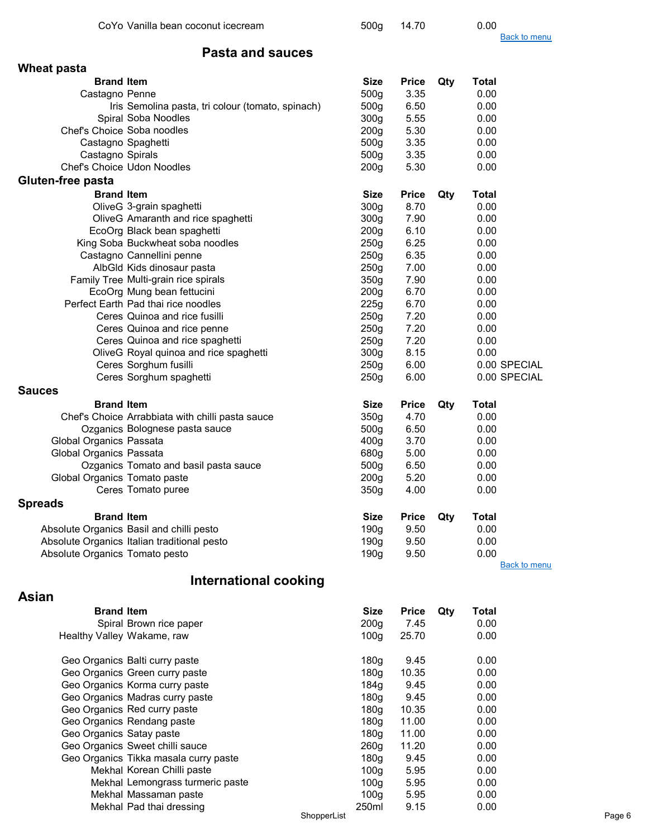|                                | CoYo Vanilla bean coconut icecream                |             | 500 <sub>g</sub> | 14.70        |     | 0.00                |        |
|--------------------------------|---------------------------------------------------|-------------|------------------|--------------|-----|---------------------|--------|
|                                |                                                   |             |                  |              |     | <b>Back to menu</b> |        |
|                                | <b>Pasta and sauces</b>                           |             |                  |              |     |                     |        |
| <b>Wheat pasta</b>             |                                                   |             |                  |              |     |                     |        |
| <b>Brand Item</b>              |                                                   |             | <b>Size</b>      | <b>Price</b> | Qty | <b>Total</b>        |        |
| Castagno Penne                 |                                                   |             | 500g             | 3.35         |     | 0.00                |        |
|                                | Iris Semolina pasta, tri colour (tomato, spinach) |             | 500g             | 6.50         |     | 0.00                |        |
|                                | Spiral Soba Noodles                               |             | 300 <sub>g</sub> | 5.55         |     | 0.00                |        |
| Chef's Choice Soba noodles     |                                                   |             | 200 <sub>g</sub> | 5.30         |     | 0.00                |        |
|                                | Castagno Spaghetti                                |             | 500 <sub>g</sub> | 3.35         |     | 0.00                |        |
| Castagno Spirals               |                                                   |             | 500g             | 3.35         |     | 0.00                |        |
|                                | Chef's Choice Udon Noodles                        |             | 200 <sub>g</sub> | 5.30         |     | 0.00                |        |
| Gluten-free pasta              |                                                   |             |                  |              |     |                     |        |
| <b>Brand Item</b>              |                                                   |             | <b>Size</b>      | <b>Price</b> | Qty | <b>Total</b>        |        |
|                                | OliveG 3-grain spaghetti                          |             | 300 <sub>g</sub> | 8.70         |     | 0.00                |        |
|                                | OliveG Amaranth and rice spaghetti                |             | 300 <sub>g</sub> | 7.90         |     | 0.00                |        |
|                                | EcoOrg Black bean spaghetti                       |             | 200 <sub>g</sub> | 6.10         |     | 0.00                |        |
|                                | King Soba Buckwheat soba noodles                  |             | 250g             | 6.25         |     | 0.00                |        |
|                                | Castagno Cannellini penne                         |             | 250g             | 6.35         |     | 0.00                |        |
|                                | AlbGld Kids dinosaur pasta                        |             | 250g             | 7.00         |     | 0.00                |        |
|                                | Family Tree Multi-grain rice spirals              |             | 350g             | 7.90         |     | 0.00                |        |
|                                | EcoOrg Mung bean fettucini                        |             | 200 <sub>g</sub> | 6.70         |     | 0.00                |        |
|                                | Perfect Earth Pad thai rice noodles               |             | 225g             | 6.70         |     | 0.00                |        |
|                                | Ceres Quinoa and rice fusilli                     |             | 250g             | 7.20         |     | 0.00                |        |
|                                | Ceres Quinoa and rice penne                       |             | 250g             | 7.20         |     | 0.00                |        |
|                                | Ceres Quinoa and rice spaghetti                   |             | 250g             | 7.20         |     | 0.00                |        |
|                                | OliveG Royal quinoa and rice spaghetti            |             | 300g             | 8.15         |     | 0.00                |        |
|                                | Ceres Sorghum fusilli                             |             | 250g             | 6.00         |     | 0.00 SPECIAL        |        |
|                                | Ceres Sorghum spaghetti                           |             | 250 <sub>g</sub> | 6.00         |     | 0.00 SPECIAL        |        |
| <b>Sauces</b>                  |                                                   |             |                  |              |     |                     |        |
| <b>Brand Item</b>              |                                                   |             | <b>Size</b>      | <b>Price</b> | Qty | Total               |        |
|                                | Chef's Choice Arrabbiata with chilli pasta sauce  |             | 350g             | 4.70         |     | 0.00                |        |
|                                | Ozganics Bolognese pasta sauce                    |             | 500g             | 6.50         |     | 0.00                |        |
| Global Organics Passata        |                                                   |             | 400 <sub>g</sub> | 3.70         |     | 0.00                |        |
| Global Organics Passata        |                                                   |             | 680g             | 5.00         |     | 0.00                |        |
|                                | Ozganics Tomato and basil pasta sauce             |             | 500g             | 6.50         |     | 0.00                |        |
| Global Organics Tomato paste   |                                                   |             | 200 <sub>g</sub> | 5.20         |     | 0.00                |        |
|                                | Ceres Tomato puree                                |             | 350g             | 4.00         |     | 0.00                |        |
| <b>Spreads</b>                 |                                                   |             |                  |              |     |                     |        |
| <b>Brand Item</b>              |                                                   |             | <b>Size</b>      | <b>Price</b> | Qty | <b>Total</b>        |        |
|                                | Absolute Organics Basil and chilli pesto          |             | 190 <sub>g</sub> | 9.50         |     | 0.00                |        |
|                                | Absolute Organics Italian traditional pesto       |             | 190g             | 9.50         |     | 0.00                |        |
| Absolute Organics Tomato pesto |                                                   |             | 190g             | 9.50         |     | 0.00                |        |
|                                |                                                   |             |                  |              |     | <b>Back to menu</b> |        |
|                                | International cooking                             |             |                  |              |     |                     |        |
|                                |                                                   |             |                  |              |     |                     |        |
| <b>Asian</b>                   |                                                   |             |                  |              |     |                     |        |
| <b>Brand Item</b>              |                                                   |             | <b>Size</b>      | <b>Price</b> | Qty | <b>Total</b>        |        |
|                                | Spiral Brown rice paper                           |             | 200 <sub>g</sub> | 7.45         |     | 0.00                |        |
| Healthy Valley Wakame, raw     |                                                   |             | 100 <sub>g</sub> | 25.70        |     | 0.00                |        |
|                                |                                                   |             |                  |              |     |                     |        |
|                                | Geo Organics Balti curry paste                    |             | 180g             | 9.45         |     | 0.00                |        |
|                                | Geo Organics Green curry paste                    |             | 180 <sub>g</sub> | 10.35        |     | 0.00                |        |
|                                | Geo Organics Korma curry paste                    |             | 184g             | 9.45         |     | 0.00                |        |
|                                | Geo Organics Madras curry paste                   |             | 180g             | 9.45         |     | 0.00                |        |
|                                | Geo Organics Red curry paste                      |             | 180g             | 10.35        |     | 0.00                |        |
|                                | Geo Organics Rendang paste                        |             | 180g             | 11.00        |     | 0.00                |        |
| Geo Organics Satay paste       |                                                   |             | 180g             | 11.00        |     | 0.00                |        |
|                                | Geo Organics Sweet chilli sauce                   |             | 260 <sub>g</sub> | 11.20        |     | 0.00                |        |
|                                | Geo Organics Tikka masala curry paste             |             | 180 <sub>g</sub> | 9.45         |     | 0.00                |        |
|                                | Mekhal Korean Chilli paste                        |             | 100 <sub>g</sub> | 5.95         |     | 0.00                |        |
|                                | Mekhal Lemongrass turmeric paste                  |             | 100 <sub>g</sub> | 5.95         |     | 0.00                |        |
|                                | Mekhal Massaman paste                             |             | 100 <sub>g</sub> | 5.95         |     | 0.00                |        |
|                                | Mekhal Pad thai dressing                          | ShopperList | 250ml            | 9.15         |     | 0.00                | Page 6 |
|                                |                                                   |             |                  |              |     |                     |        |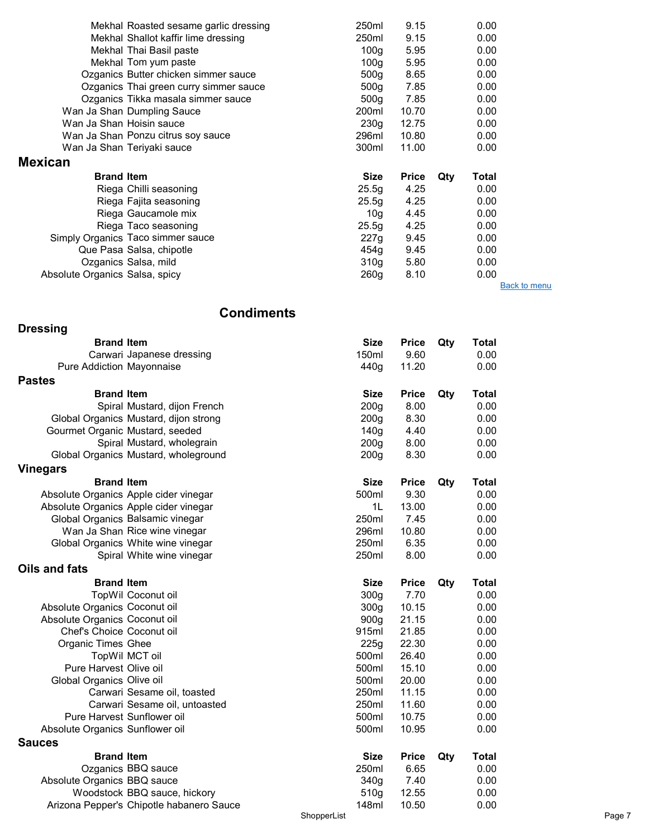|                                | Mekhal Roasted sesame garlic dressing  | 250ml            | 9.15         | 0.00         |                     |
|--------------------------------|----------------------------------------|------------------|--------------|--------------|---------------------|
|                                | Mekhal Shallot kaffir lime dressing    | 250ml            | 9.15         | 0.00         |                     |
|                                |                                        |                  |              |              |                     |
|                                | Mekhal Thai Basil paste                | 100a             | 5.95         | 0.00         |                     |
|                                | Mekhal Tom yum paste                   | 100 <sub>g</sub> | 5.95         | 0.00         |                     |
|                                | Ozganics Butter chicken simmer sauce   | 500 <sub>q</sub> | 8.65         | 0.00         |                     |
|                                | Ozganics Thai green curry simmer sauce | 500 <sub>q</sub> | 7.85         | 0.00         |                     |
|                                | Ozganics Tikka masala simmer sauce     | 500 <sub>q</sub> | 7.85         | 0.00         |                     |
|                                | Wan Ja Shan Dumpling Sauce             | 200ml            | 10.70        | 0.00         |                     |
| Wan Ja Shan Hoisin sauce       |                                        | 230 <sub>g</sub> | 12.75        | 0.00         |                     |
|                                | Wan Ja Shan Ponzu citrus soy sauce     | 296ml            | 10.80        | 0.00         |                     |
|                                | Wan Ja Shan Teriyaki sauce             | 300ml            | 11.00        | 0.00         |                     |
| <b>Mexican</b>                 |                                        |                  |              |              |                     |
| <b>Brand Item</b>              |                                        | <b>Size</b>      | <b>Price</b> | Total<br>Qty |                     |
|                                | Riega Chilli seasoning                 | 25.5q            | 4.25         | 0.00         |                     |
|                                | Riega Fajita seasoning                 | 25.5g            | 4.25         | 0.00         |                     |
|                                | Riega Gaucamole mix                    | 10q              | 4.45         | 0.00         |                     |
|                                | Riega Taco seasoning                   | 25.5q            | 4.25         | 0.00         |                     |
|                                | Simply Organics Taco simmer sauce      | 227q             | 9.45         | 0.00         |                     |
|                                | Que Pasa Salsa, chipotle               | 454q             | 9.45         | 0.00         |                     |
|                                | Ozganics Salsa, mild                   | 310 <sub>g</sub> | 5.80         | 0.00         |                     |
| Absolute Organics Salsa, spicy |                                        | 260g             | 8.10         | 0.00         |                     |
|                                |                                        |                  |              |              | <b>Back to menu</b> |

#### **Condiments**

| <b>Dressing</b>                  |                                          |                  |              |     |              |  |
|----------------------------------|------------------------------------------|------------------|--------------|-----|--------------|--|
| <b>Brand Item</b>                |                                          | <b>Size</b>      | <b>Price</b> | Qty | <b>Total</b> |  |
|                                  | Carwari Japanese dressing                | 150ml            | 9.60         |     | 0.00         |  |
| <b>Pure Addiction Mayonnaise</b> |                                          | 440g             | 11.20        |     | 0.00         |  |
| <b>Pastes</b>                    |                                          |                  |              |     |              |  |
| <b>Brand Item</b>                |                                          | <b>Size</b>      | <b>Price</b> | Qty | <b>Total</b> |  |
|                                  | Spiral Mustard, dijon French             | 200 <sub>g</sub> | 8.00         |     | 0.00         |  |
|                                  | Global Organics Mustard, dijon strong    | 200 <sub>g</sub> | 8.30         |     | 0.00         |  |
| Gourmet Organic Mustard, seeded  |                                          | 140 <sub>g</sub> | 4.40         |     | 0.00         |  |
|                                  | Spiral Mustard, wholegrain               | 200 <sub>g</sub> | 8.00         |     | 0.00         |  |
|                                  | Global Organics Mustard, wholeground     | 200 <sub>g</sub> | 8.30         |     | 0.00         |  |
| <b>Vinegars</b>                  |                                          |                  |              |     |              |  |
| <b>Brand Item</b>                |                                          | <b>Size</b>      | <b>Price</b> | Qty | <b>Total</b> |  |
|                                  | Absolute Organics Apple cider vinegar    | 500ml            | 9.30         |     | 0.00         |  |
|                                  | Absolute Organics Apple cider vinegar    | 1L               | 13.00        |     | 0.00         |  |
|                                  | Global Organics Balsamic vinegar         | 250ml            | 7.45         |     | 0.00         |  |
|                                  | Wan Ja Shan Rice wine vinegar            | 296ml            | 10.80        |     | 0.00         |  |
|                                  | Global Organics White wine vinegar       | 250ml            | 6.35         |     | 0.00         |  |
|                                  | Spiral White wine vinegar                | 250ml            | 8.00         |     | 0.00         |  |
| Oils and fats                    |                                          |                  |              |     |              |  |
| <b>Brand Item</b>                |                                          | Size             | <b>Price</b> | Qty | Total        |  |
|                                  | TopWil Coconut oil                       | 300 <sub>g</sub> | 7.70         |     | 0.00         |  |
| Absolute Organics Coconut oil    |                                          | 300g             | 10.15        |     | 0.00         |  |
| Absolute Organics Coconut oil    |                                          | 900g             | 21.15        |     | 0.00         |  |
| Chef's Choice Coconut oil        |                                          | 915ml            | 21.85        |     | 0.00         |  |
| <b>Organic Times Ghee</b>        |                                          | 225g             | 22.30        |     | 0.00         |  |
|                                  | TopWil MCT oil                           | 500ml            | 26.40        |     | 0.00         |  |
| Pure Harvest Olive oil           |                                          | 500ml            | 15.10        |     | 0.00         |  |
| Global Organics Olive oil        |                                          | 500ml            | 20.00        |     | 0.00         |  |
|                                  | Carwari Sesame oil, toasted              | 250ml            | 11.15        |     | 0.00         |  |
|                                  | Carwari Sesame oil, untoasted            | 250ml            | 11.60        |     | 0.00         |  |
| Pure Harvest Sunflower oil       |                                          | 500ml            | 10.75        |     | 0.00         |  |
| Absolute Organics Sunflower oil  |                                          | 500ml            | 10.95        |     | 0.00         |  |
| <b>Sauces</b>                    |                                          |                  |              |     |              |  |
| <b>Brand Item</b>                |                                          | <b>Size</b>      | <b>Price</b> | Qty | <b>Total</b> |  |
|                                  | Ozganics BBQ sauce                       | 250ml            | 6.65         |     | 0.00         |  |
| Absolute Organics BBQ sauce      |                                          | 340g             | 7.40         |     | 0.00         |  |
|                                  | Woodstock BBQ sauce, hickory             | 510g             | 12.55        |     | 0.00         |  |
|                                  | Arizona Pepper's Chipotle habanero Sauce | 148ml            | 10.50        |     | 0.00         |  |
|                                  |                                          | ShopperList      |              |     |              |  |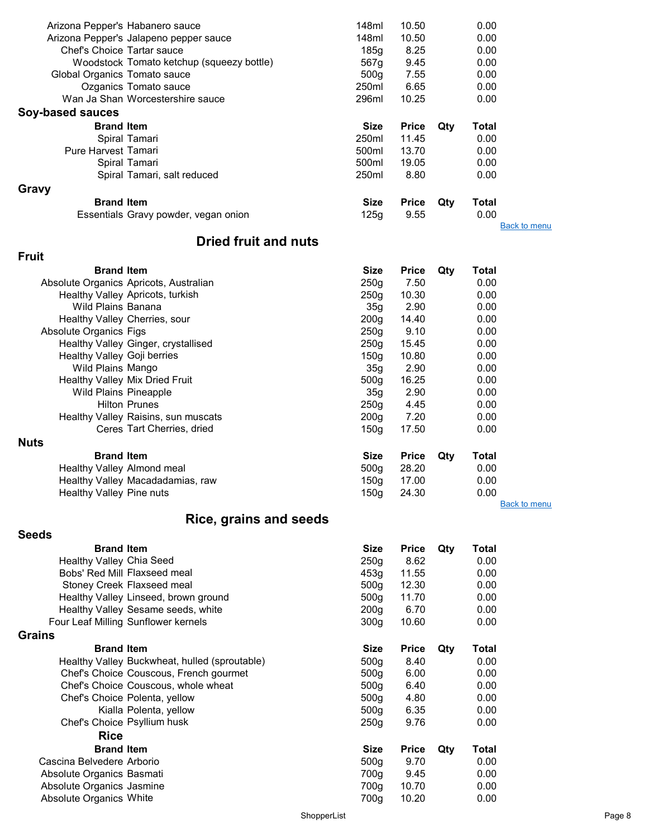|                                 | Arizona Pepper's Habanero sauce               | 148ml            | 10.50        |     | 0.00         |                     |
|---------------------------------|-----------------------------------------------|------------------|--------------|-----|--------------|---------------------|
|                                 | Arizona Pepper's Jalapeno pepper sauce        | 148ml            | 10.50        |     | 0.00         |                     |
| Chef's Choice Tartar sauce      |                                               | 185g             | 8.25         |     | 0.00         |                     |
|                                 | Woodstock Tomato ketchup (squeezy bottle)     | 567g             | 9.45         |     | 0.00         |                     |
| Global Organics Tomato sauce    |                                               | 500 <sub>g</sub> | 7.55         |     | 0.00         |                     |
|                                 | Ozganics Tomato sauce                         | 250ml            | 6.65         |     | 0.00         |                     |
|                                 | Wan Ja Shan Worcestershire sauce              | 296ml            | 10.25        |     | 0.00         |                     |
| Soy-based sauces                |                                               |                  |              |     |              |                     |
| <b>Brand Item</b>               |                                               | <b>Size</b>      | <b>Price</b> | Qty | <b>Total</b> |                     |
|                                 | Spiral Tamari                                 | 250ml            | 11.45        |     | 0.00         |                     |
|                                 |                                               |                  |              |     |              |                     |
| Pure Harvest Tamari             |                                               | 500ml            | 13.70        |     | 0.00         |                     |
|                                 | Spiral Tamari                                 | 500ml            | 19.05        |     | 0.00         |                     |
|                                 | Spiral Tamari, salt reduced                   | 250ml            | 8.80         |     | 0.00         |                     |
| Gravy                           |                                               |                  |              |     |              |                     |
| <b>Brand Item</b>               |                                               | <b>Size</b>      | <b>Price</b> | Qty | <b>Total</b> |                     |
|                                 | Essentials Gravy powder, vegan onion          | 125g             | 9.55         |     | 0.00         |                     |
|                                 |                                               |                  |              |     |              | <b>Back to menu</b> |
|                                 | <b>Dried fruit and nuts</b>                   |                  |              |     |              |                     |
| <b>Fruit</b>                    |                                               |                  |              |     |              |                     |
| <b>Brand Item</b>               |                                               | <b>Size</b>      | <b>Price</b> | Qty | Total        |                     |
|                                 |                                               |                  |              |     |              |                     |
|                                 | Absolute Organics Apricots, Australian        | 250 <sub>g</sub> | 7.50         |     | 0.00         |                     |
|                                 | Healthy Valley Apricots, turkish              | 250 <sub>g</sub> | 10.30        |     | 0.00         |                     |
| Wild Plains Banana              |                                               | 35 <sub>g</sub>  | 2.90         |     | 0.00         |                     |
|                                 | Healthy Valley Cherries, sour                 | 200 <sub>g</sub> | 14.40        |     | 0.00         |                     |
| Absolute Organics Figs          |                                               | 250 <sub>g</sub> | 9.10         |     | 0.00         |                     |
|                                 | Healthy Valley Ginger, crystallised           | 250 <sub>g</sub> | 15.45        |     | 0.00         |                     |
| Healthy Valley Goji berries     |                                               | 150 <sub>g</sub> | 10.80        |     | 0.00         |                     |
| Wild Plains Mango               |                                               | 35g              | 2.90         |     | 0.00         |                     |
|                                 | Healthy Valley Mix Dried Fruit                | 500 <sub>g</sub> | 16.25        |     | 0.00         |                     |
| <b>Wild Plains Pineapple</b>    |                                               | 35g              | 2.90         |     | 0.00         |                     |
|                                 | <b>Hilton Prunes</b>                          | 250 <sub>g</sub> | 4.45         |     | 0.00         |                     |
|                                 | Healthy Valley Raisins, sun muscats           | 200 <sub>g</sub> | 7.20         |     | 0.00         |                     |
|                                 | Ceres Tart Cherries, dried                    | 150g             | 17.50        |     | 0.00         |                     |
| <b>Nuts</b>                     |                                               |                  |              |     |              |                     |
| <b>Brand Item</b>               |                                               | <b>Size</b>      | <b>Price</b> | Qty | <b>Total</b> |                     |
| Healthy Valley Almond meal      |                                               | 500 <sub>g</sub> | 28.20        |     | 0.00         |                     |
|                                 | Healthy Valley Macadadamias, raw              | 150g             | 17.00        |     | 0.00         |                     |
| <b>Healthy Valley Pine nuts</b> |                                               | 150 <sub>g</sub> | 24.30        |     | 0.00         |                     |
|                                 |                                               |                  |              |     |              | <b>Back to menu</b> |
|                                 | <b>Rice, grains and seeds</b>                 |                  |              |     |              |                     |
|                                 |                                               |                  |              |     |              |                     |
| <b>Seeds</b>                    |                                               |                  |              |     |              |                     |
| <b>Brand Item</b>               |                                               | <b>Size</b>      | <b>Price</b> | Qty | Total        |                     |
| Healthy Valley Chia Seed        |                                               | 250g             | 8.62         |     | 0.00         |                     |
|                                 | Bobs' Red Mill Flaxseed meal                  | 453g             | 11.55        |     | 0.00         |                     |
|                                 | Stoney Creek Flaxseed meal                    | 500g             | 12.30        |     | 0.00         |                     |
|                                 | Healthy Valley Linseed, brown ground          | 500g             | 11.70        |     | 0.00         |                     |
|                                 | Healthy Valley Sesame seeds, white            | 200 <sub>g</sub> | 6.70         |     | 0.00         |                     |
|                                 | Four Leaf Milling Sunflower kernels           | 300 <sub>g</sub> | 10.60        |     | 0.00         |                     |
| <b>Grains</b>                   |                                               |                  |              |     |              |                     |
| <b>Brand Item</b>               |                                               | <b>Size</b>      | <b>Price</b> | Qty | <b>Total</b> |                     |
|                                 | Healthy Valley Buckwheat, hulled (sproutable) | 500g             | 8.40         |     | 0.00         |                     |
|                                 | Chef's Choice Couscous, French gourmet        | 500g             | 6.00         |     | 0.00         |                     |
|                                 |                                               |                  |              |     |              |                     |

Chef's Choice Couscous, whole wheat 500g 6.40 0.00 Chef's Choice Polenta, yellow 500g 4.80 0.00<br>Kialla Polenta, yellow 500g 6.35 0.00 Kialla Polenta, yellow 6.35 0.00<br>
Choice Psyllium husk block block block block block block block block block block block block block block bloc<br>
250g 9.76 0.00 Chef's Choice Psyllium husk 250g 9.76 Rice **Brand Item Size Price Qty Total Size Price Qty Total Size Price Qty Total Size Arborio** Cascina Belvedere Arborio 600 a.C. (500 a.C. 500 a.C. 500 a.C. 500 a.C. 500 a.C. 500 a.C. 500 a.C. 500 a.C. 500 a.C. 500 a.C. 500 a.C. 500 a.C. 500 a.C. 500 a.C. 500 a.C. 500 a.C. 500 a.C. 500 a.C. 500 a.C. 500 a.C. 500 a.

Absolute Organics White

Absolute Organics Basmati 700g 9.45 0.00 Absolute Organics Jasmine 700g 10.70 0.00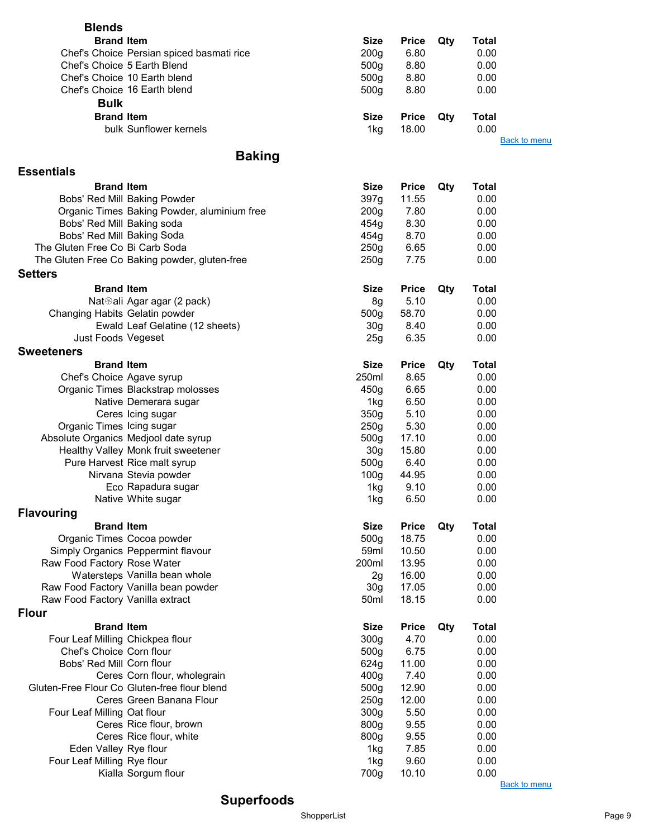| <b>Blends</b>                    |                                               |                  |              |     |                     |
|----------------------------------|-----------------------------------------------|------------------|--------------|-----|---------------------|
| <b>Brand Item</b>                |                                               | <b>Size</b>      | <b>Price</b> | Qty | <b>Total</b>        |
|                                  | Chef's Choice Persian spiced basmati rice     | 200 <sub>g</sub> | 6.80         |     | 0.00                |
| Chef's Choice 5 Earth Blend      |                                               | 500g             | 8.80         |     | 0.00                |
|                                  | Chef's Choice 10 Earth blend                  | 500 <sub>g</sub> | 8.80         |     | 0.00                |
|                                  | Chef's Choice 16 Earth blend                  | 500g             | 8.80         |     | 0.00                |
| <b>Bulk</b>                      |                                               |                  |              |     |                     |
|                                  |                                               |                  |              |     |                     |
| <b>Brand Item</b>                |                                               | <b>Size</b>      | <b>Price</b> | Qty | Total               |
|                                  | bulk Sunflower kernels                        | 1kg              | 18.00        |     | 0.00                |
|                                  |                                               |                  |              |     | <b>Back to menu</b> |
|                                  | <b>Baking</b>                                 |                  |              |     |                     |
| <b>Essentials</b>                |                                               |                  |              |     |                     |
| <b>Brand Item</b>                |                                               | <b>Size</b>      | <b>Price</b> | Qty | <b>Total</b>        |
|                                  | Bobs' Red Mill Baking Powder                  | 397g             | 11.55        |     | 0.00                |
|                                  | Organic Times Baking Powder, aluminium free   | 200 <sub>g</sub> | 7.80         |     | 0.00                |
| Bobs' Red Mill Baking soda       |                                               | 454g             | 8.30         |     | 0.00                |
| Bobs' Red Mill Baking Soda       |                                               | 454g             | 8.70         |     | 0.00                |
| The Gluten Free Co Bi Carb Soda  |                                               | 250g             | 6.65         |     | 0.00                |
|                                  | The Gluten Free Co Baking powder, gluten-free | 250g             | 7.75         |     | 0.00                |
| <b>Setters</b>                   |                                               |                  |              |     |                     |
| <b>Brand Item</b>                |                                               | <b>Size</b>      | <b>Price</b> |     | <b>Total</b>        |
|                                  |                                               |                  | 5.10         | Qty |                     |
|                                  | Nat⊛ali Agar agar (2 pack)                    | 8g               |              |     | 0.00                |
| Changing Habits Gelatin powder   |                                               | 500g             | 58.70        |     | 0.00                |
|                                  | Ewald Leaf Gelatine (12 sheets)               | 30 <sub>g</sub>  | 8.40<br>6.35 |     | 0.00                |
| Just Foods Vegeset               |                                               | 25g              |              |     | 0.00                |
| <b>Sweeteners</b>                |                                               |                  |              |     |                     |
| <b>Brand Item</b>                |                                               | <b>Size</b>      | <b>Price</b> | Qty | <b>Total</b>        |
| Chef's Choice Agave syrup        |                                               | 250ml            | 8.65         |     | 0.00                |
|                                  | Organic Times Blackstrap molosses             | 450g             | 6.65         |     | 0.00                |
|                                  | Native Demerara sugar                         | 1kg              | 6.50         |     | 0.00                |
|                                  | Ceres Icing sugar                             | 350g             | 5.10         |     | 0.00                |
| Organic Times Icing sugar        |                                               | 250 <sub>g</sub> | 5.30         |     | 0.00                |
|                                  | Absolute Organics Medjool date syrup          | 500g             | 17.10        |     | 0.00                |
|                                  | Healthy Valley Monk fruit sweetener           | 30 <sub>g</sub>  | 15.80        |     | 0.00                |
|                                  | Pure Harvest Rice malt syrup                  | 500 <sub>g</sub> | 6.40         |     | 0.00                |
|                                  | Nirvana Stevia powder                         | 100 <sub>g</sub> | 44.95        |     | 0.00                |
|                                  | Eco Rapadura sugar                            | 1kg              | 9.10         |     | 0.00                |
|                                  | Native White sugar                            | 1kg              | 6.50         |     | 0.00                |
| <b>Flavouring</b>                |                                               |                  |              |     |                     |
| <b>Brand Item</b>                |                                               | <b>Size</b>      | <b>Price</b> | Qty | <b>Total</b>        |
|                                  | Organic Times Cocoa powder                    | 500g             | 18.75        |     | 0.00                |
|                                  | Simply Organics Peppermint flavour            | 59ml             | 10.50        |     | 0.00                |
| Raw Food Factory Rose Water      |                                               | 200ml            | 13.95        |     | 0.00                |
|                                  | Watersteps Vanilla bean whole                 | 2g               | 16.00        |     | 0.00                |
|                                  | Raw Food Factory Vanilla bean powder          | 30 <sub>g</sub>  | 17.05        |     | 0.00                |
| Raw Food Factory Vanilla extract |                                               | 50ml             | 18.15        |     | 0.00                |
| <b>Flour</b>                     |                                               |                  |              |     |                     |
| <b>Brand Item</b>                |                                               | <b>Size</b>      | <b>Price</b> | Qty | <b>Total</b>        |
| Four Leaf Milling Chickpea flour |                                               | 300 <sub>g</sub> | 4.70         |     | 0.00                |
| Chef's Choice Corn flour         |                                               | 500g             | 6.75         |     | 0.00                |
| Bobs' Red Mill Corn flour        |                                               | 624g             | 11.00        |     | 0.00                |
|                                  | Ceres Corn flour, wholegrain                  | 400 <sub>g</sub> | 7.40         |     | 0.00                |
|                                  | Gluten-Free Flour Co Gluten-free flour blend  | 500g             | 12.90        |     | 0.00                |
|                                  | Ceres Green Banana Flour                      | 250g             | 12.00        |     | 0.00                |
| Four Leaf Milling Oat flour      |                                               | 300g             | 5.50         |     | 0.00                |
|                                  | Ceres Rice flour, brown                       | 800g             | 9.55         |     | 0.00                |
|                                  | Ceres Rice flour, white                       | 800g             | 9.55         |     | 0.00                |
| Eden Valley Rye flour            |                                               | 1kg              | 7.85         |     | 0.00                |
| Four Leaf Milling Rye flour      |                                               | 1kg              | 9.60         |     | 0.00                |
|                                  | Kialla Sorgum flour                           | 700g             | 10.10        |     | 0.00                |
|                                  |                                               |                  |              |     | <b>Back to menu</b> |

Superfoods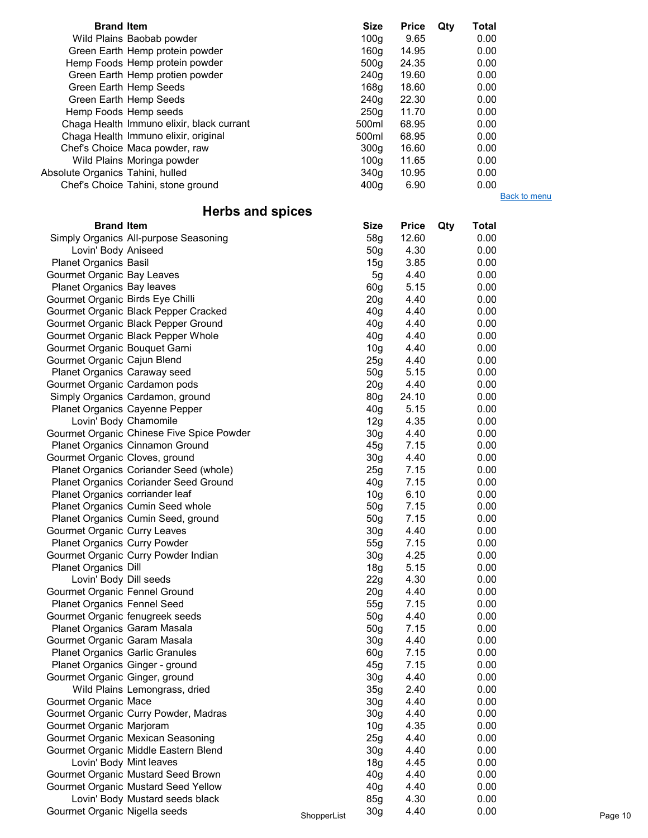| <b>Size</b>      | <b>Price</b> | Qty | Total |  |
|------------------|--------------|-----|-------|--|
| 100 <sub>q</sub> | 9.65         |     | 0.00  |  |
| 160a             | 14.95        |     | 0.00  |  |
| 500 <sub>q</sub> | 24.35        |     | 0.00  |  |
| 240g             | 19.60        |     | 0.00  |  |
| 168g             | 18.60        |     | 0.00  |  |
| 240g             | 22.30        |     | 0.00  |  |
| 250 <sub>a</sub> | 11.70        |     | 0.00  |  |
| 500ml            | 68.95        |     | 0.00  |  |
| 500ml            | 68.95        |     | 0.00  |  |
| 300a             | 16.60        |     | 0.00  |  |
| 100q             | 11.65        |     | 0.00  |  |
| 340g             | 10.95        |     | 0.00  |  |
| 400a             | 6.90         |     | 0.00  |  |
|                  |              |     |       |  |

**Back to menu** 

# Herbs and spices

| <b>Brand Item</b>                      |                                            |             | <b>Size</b>     | <b>Price</b> | Qty | <b>Total</b> |
|----------------------------------------|--------------------------------------------|-------------|-----------------|--------------|-----|--------------|
|                                        | Simply Organics All-purpose Seasoning      |             | 58g             | 12.60        |     | 0.00         |
| Lovin' Body Aniseed                    |                                            |             | 50 <sub>g</sub> | 4.30         |     | 0.00         |
| <b>Planet Organics Basil</b>           |                                            |             | 15g             | 3.85         |     | 0.00         |
| Gourmet Organic Bay Leaves             |                                            |             | 5g              | 4.40         |     | 0.00         |
| Planet Organics Bay leaves             |                                            |             | 60g             | 5.15         |     | 0.00         |
| Gourmet Organic Birds Eye Chilli       |                                            |             | 20 <sub>g</sub> | 4.40         |     | 0.00         |
|                                        | Gourmet Organic Black Pepper Cracked       |             | 40 <sub>g</sub> | 4.40         |     | 0.00         |
|                                        | Gourmet Organic Black Pepper Ground        |             | 40 <sub>q</sub> | 4.40         |     | 0.00         |
|                                        | Gourmet Organic Black Pepper Whole         |             | 40 <sub>g</sub> | 4.40         |     | 0.00         |
| Gourmet Organic Bouquet Garni          |                                            |             | 10 <sub>g</sub> | 4.40         |     | 0.00         |
| Gourmet Organic Cajun Blend            |                                            |             | 25g             | 4.40         |     | 0.00         |
| <b>Planet Organics Caraway seed</b>    |                                            |             | 50 <sub>g</sub> | 5.15         |     | 0.00         |
| Gourmet Organic Cardamon pods          |                                            |             | 20 <sub>g</sub> | 4.40         |     | 0.00         |
|                                        | Simply Organics Cardamon, ground           |             | 80 <sub>g</sub> | 24.10        |     | 0.00         |
|                                        | Planet Organics Cayenne Pepper             |             | 40 <sub>g</sub> | 5.15         |     | 0.00         |
| Lovin' Body Chamomile                  |                                            |             | 12g             | 4.35         |     | 0.00         |
|                                        | Gourmet Organic Chinese Five Spice Powder  |             | 30 <sub>g</sub> | 4.40         |     | 0.00         |
|                                        | Planet Organics Cinnamon Ground            |             | 45g             | 7.15         |     | 0.00         |
| Gourmet Organic Cloves, ground         |                                            |             | 30 <sub>g</sub> | 4.40         |     | 0.00         |
|                                        | Planet Organics Coriander Seed (whole)     |             | 25g             | 7.15         |     | 0.00         |
|                                        | Planet Organics Coriander Seed Ground      |             | 40 <sub>g</sub> | 7.15         |     | 0.00         |
| Planet Organics corriander leaf        |                                            |             | 10 <sub>g</sub> | 6.10         |     | 0.00         |
|                                        | Planet Organics Cumin Seed whole           |             | 50 <sub>g</sub> | 7.15         |     | 0.00         |
|                                        | Planet Organics Cumin Seed, ground         |             | 50 <sub>g</sub> | 7.15         |     | 0.00         |
| <b>Gourmet Organic Curry Leaves</b>    |                                            |             | 30 <sub>g</sub> | 4.40         |     | 0.00         |
| <b>Planet Organics Curry Powder</b>    |                                            |             | 55g             | 7.15         |     | 0.00         |
|                                        | Gourmet Organic Curry Powder Indian        |             | 30 <sub>g</sub> | 4.25         |     | 0.00         |
| <b>Planet Organics Dill</b>            |                                            |             | 18 <sub>g</sub> | 5.15         |     | 0.00         |
| Lovin' Body Dill seeds                 |                                            |             | 22g             | 4.30         |     | 0.00         |
| Gourmet Organic Fennel Ground          |                                            |             | 20 <sub>g</sub> | 4.40         |     | 0.00         |
| <b>Planet Organics Fennel Seed</b>     |                                            |             | 55g             | 7.15         |     | 0.00         |
| Gourmet Organic fenugreek seeds        |                                            |             | 50 <sub>g</sub> | 4.40         |     | 0.00         |
| Planet Organics Garam Masala           |                                            |             | 50 <sub>g</sub> | 7.15         |     | 0.00         |
| Gourmet Organic Garam Masala           |                                            |             | 30 <sub>g</sub> | 4.40         |     | 0.00         |
| <b>Planet Organics Garlic Granules</b> |                                            |             | 60g             | 7.15         |     | 0.00         |
| Planet Organics Ginger - ground        |                                            |             | 45g             | 7.15         |     | 0.00         |
| Gourmet Organic Ginger, ground         |                                            |             | 30 <sub>g</sub> | 4.40         |     | 0.00         |
|                                        | Wild Plains Lemongrass, dried              |             | 35g             | 2.40         |     | 0.00         |
| Gourmet Organic Mace                   |                                            |             | 30 <sub>g</sub> | 4.40         |     | 0.00         |
|                                        | Gourmet Organic Curry Powder, Madras       |             | 30 <sub>g</sub> | 4.40         |     | 0.00         |
| Gourmet Organic Marjoram               |                                            |             | 10 <sub>g</sub> | 4.35         |     | 0.00         |
|                                        | Gourmet Organic Mexican Seasoning          |             | 25g             | 4.40         |     | 0.00         |
|                                        | Gourmet Organic Middle Eastern Blend       |             | 30 <sub>g</sub> | 4.40         |     | 0.00         |
| Lovin' Body Mint leaves                |                                            |             | 18g             | 4.45         |     | 0.00         |
|                                        | Gourmet Organic Mustard Seed Brown         |             | 40 <sub>g</sub> | 4.40         |     | 0.00         |
|                                        | <b>Gourmet Organic Mustard Seed Yellow</b> |             | 40 <sub>g</sub> | 4.40         |     | 0.00         |
|                                        | Lovin' Body Mustard seeds black            |             | 85g             | 4.30         |     | 0.00         |
| Gourmet Organic Nigella seeds          |                                            | ShopperList | 30 <sub>g</sub> | 4.40         |     | 0.00         |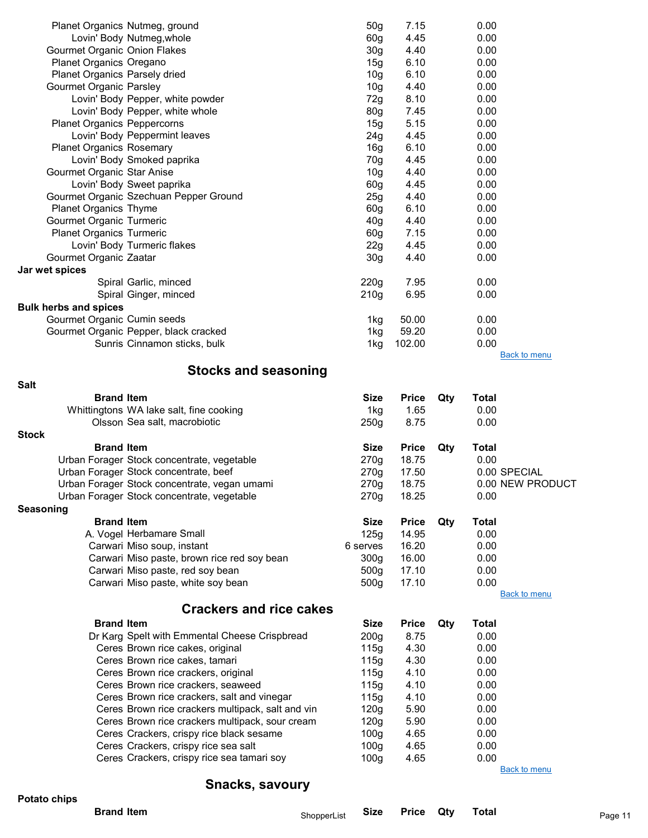|                                     | Planet Organics Nutmeg, ground                    | 50 <sub>g</sub>  | 7.15         |     | 0.00         |                     |
|-------------------------------------|---------------------------------------------------|------------------|--------------|-----|--------------|---------------------|
|                                     | Lovin' Body Nutmeg, whole                         | 60 <sub>g</sub>  | 4.45         |     | 0.00         |                     |
| <b>Gourmet Organic Onion Flakes</b> |                                                   | 30 <sub>g</sub>  | 4.40         |     | 0.00         |                     |
| Planet Organics Oregano             |                                                   | 15g              | 6.10         |     | 0.00         |                     |
| Planet Organics Parsely dried       |                                                   | 10 <sub>g</sub>  | 6.10         |     | 0.00         |                     |
| <b>Gourmet Organic Parsley</b>      |                                                   | 10 <sub>g</sub>  | 4.40         |     | 0.00         |                     |
|                                     | Lovin' Body Pepper, white powder                  | 72g              | 8.10         |     | 0.00         |                     |
|                                     | Lovin' Body Pepper, white whole                   | 80 <sub>g</sub>  | 7.45         |     | 0.00         |                     |
| <b>Planet Organics Peppercorns</b>  |                                                   | 15g              | 5.15         |     | 0.00         |                     |
|                                     | Lovin' Body Peppermint leaves                     | 24g              | 4.45         |     | 0.00         |                     |
|                                     |                                                   | 16g              | 6.10         |     | 0.00         |                     |
| <b>Planet Organics Rosemary</b>     |                                                   |                  |              |     |              |                     |
|                                     | Lovin' Body Smoked paprika                        | 70g              | 4.45         |     | 0.00         |                     |
| Gourmet Organic Star Anise          |                                                   | 10 <sub>g</sub>  | 4.40         |     | 0.00         |                     |
|                                     | Lovin' Body Sweet paprika                         | 60 <sub>g</sub>  | 4.45         |     | 0.00         |                     |
|                                     | Gourmet Organic Szechuan Pepper Ground            | 25g              | 4.40         |     | 0.00         |                     |
| <b>Planet Organics Thyme</b>        |                                                   | 60 <sub>g</sub>  | 6.10         |     | 0.00         |                     |
| Gourmet Organic Turmeric            |                                                   | 40 <sub>g</sub>  | 4.40         |     | 0.00         |                     |
| <b>Planet Organics Turmeric</b>     |                                                   | 60 <sub>g</sub>  | 7.15         |     | 0.00         |                     |
|                                     | Lovin' Body Turmeric flakes                       | 22g              | 4.45         |     | 0.00         |                     |
| Gourmet Organic Zaatar              |                                                   | 30 <sub>g</sub>  | 4.40         |     | 0.00         |                     |
| Jar wet spices                      |                                                   |                  |              |     |              |                     |
|                                     | Spiral Garlic, minced                             | 220g             | 7.95         |     | 0.00         |                     |
|                                     | Spiral Ginger, minced                             | 210 <sub>g</sub> | 6.95         |     | 0.00         |                     |
| <b>Bulk herbs and spices</b>        |                                                   |                  |              |     |              |                     |
| Gourmet Organic Cumin seeds         |                                                   | 1kg              | 50.00        |     | 0.00         |                     |
|                                     | Gourmet Organic Pepper, black cracked             | 1kg              | 59.20        |     | 0.00         |                     |
|                                     | Sunris Cinnamon sticks, bulk                      | 1kg              | 102.00       |     | 0.00         |                     |
|                                     |                                                   |                  |              |     |              | <b>Back to menu</b> |
|                                     | <b>Stocks and seasoning</b>                       |                  |              |     |              |                     |
| <b>Salt</b>                         |                                                   |                  |              |     |              |                     |
| <b>Brand Item</b>                   |                                                   | <b>Size</b>      | <b>Price</b> | Qty | <b>Total</b> |                     |
|                                     | Whittingtons WA lake salt, fine cooking           | 1kg              | 1.65         |     | 0.00         |                     |
|                                     | Olsson Sea salt, macrobiotic                      | 250g             | 8.75         |     | 0.00         |                     |
|                                     |                                                   |                  |              |     |              |                     |
|                                     |                                                   |                  |              |     |              |                     |
| <b>Stock</b>                        |                                                   |                  |              |     |              |                     |
| <b>Brand Item</b>                   |                                                   | <b>Size</b>      | <b>Price</b> | Qty | <b>Total</b> |                     |
|                                     | Urban Forager Stock concentrate, vegetable        | 270g             | 18.75        |     | 0.00         |                     |
|                                     | Urban Forager Stock concentrate, beef             | 270g             | 17.50        |     |              | 0.00 SPECIAL        |
|                                     | Urban Forager Stock concentrate, yegan umami      | 270g             | 18.75        |     |              | 0.00 NEW PRODUCT    |
|                                     | Urban Forager Stock concentrate, vegetable        | 270g             | 18.25        |     | 0.00         |                     |
| <b>Seasoning</b>                    |                                                   |                  |              |     |              |                     |
| <b>Brand Item</b>                   |                                                   | Size             | <b>Price</b> | Qty | <b>Total</b> |                     |
|                                     | A. Vogel Herbamare Small                          | 125g             | 14.95        |     | 0.00         |                     |
|                                     | Carwari Miso soup, instant                        | 6 serves         | 16.20        |     | 0.00         |                     |
|                                     | Carwari Miso paste, brown rice red soy bean       | 300 <sub>g</sub> | 16.00        |     | 0.00         |                     |
|                                     | Carwari Miso paste, red soy bean                  | 500g             | 17.10        |     | 0.00         |                     |
|                                     | Carwari Miso paste, white soy bean                | 500g             | 17.10        |     | 0.00         |                     |
|                                     |                                                   |                  |              |     |              | <b>Back to menu</b> |
|                                     | <b>Crackers and rice cakes</b>                    |                  |              |     |              |                     |
|                                     |                                                   |                  |              |     |              |                     |
| <b>Brand Item</b>                   |                                                   | <b>Size</b>      | <b>Price</b> | Qty | <b>Total</b> |                     |
|                                     | Dr Karg Spelt with Emmental Cheese Crispbread     | 200 <sub>g</sub> | 8.75         |     | 0.00         |                     |
|                                     | Ceres Brown rice cakes, original                  | 115g             | 4.30         |     | 0.00         |                     |
|                                     | Ceres Brown rice cakes, tamari                    | 115g             | 4.30         |     | 0.00         |                     |
|                                     | Ceres Brown rice crackers, original               | 115g             | 4.10         |     | 0.00         |                     |
|                                     | Ceres Brown rice crackers, seaweed                | 115g             | 4.10         |     | 0.00         |                     |
|                                     | Ceres Brown rice crackers, salt and vinegar       | 115g             | 4.10         |     | 0.00         |                     |
|                                     | Ceres Brown rice crackers multipack, salt and vin | 120g             | 5.90         |     | 0.00         |                     |
|                                     | Ceres Brown rice crackers multipack, sour cream   | 120g             | 5.90         |     | 0.00         |                     |
|                                     | Ceres Crackers, crispy rice black sesame          | 100 <sub>g</sub> | 4.65         |     | 0.00         |                     |
|                                     | Ceres Crackers, crispy rice sea salt              | 100 <sub>g</sub> | 4.65         |     | 0.00         |                     |
|                                     | Ceres Crackers, crispy rice sea tamari soy        | 100 <sub>g</sub> | 4.65         |     | 0.00         |                     |
|                                     | <b>Snacks, savoury</b>                            |                  |              |     |              | <b>Back to menu</b> |

#### Potato chips

#### **Brand Item** Number 2010 ShopperList **Size Price Qty Total** Page 11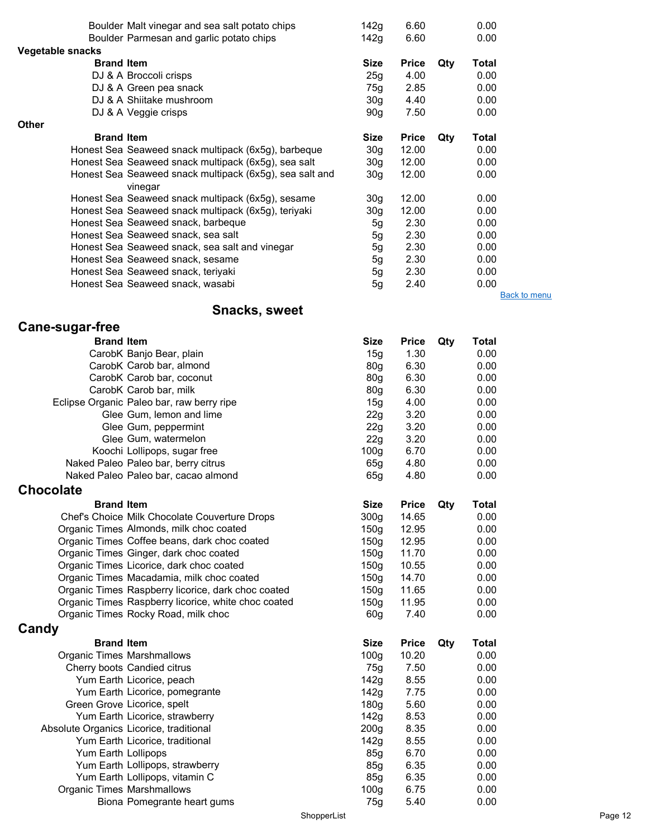|                   | Boulder Malt vinegar and sea salt potato chips          | 142g            | 6.60         |     | 0.00  |                     |
|-------------------|---------------------------------------------------------|-----------------|--------------|-----|-------|---------------------|
|                   | Boulder Parmesan and garlic potato chips                | 142g            | 6.60         |     | 0.00  |                     |
| Vegetable snacks  |                                                         |                 |              |     |       |                     |
| <b>Brand Item</b> |                                                         | Size            | <b>Price</b> | Qty | Total |                     |
|                   | DJ & A Broccoli crisps                                  | 25g             | 4.00         |     | 0.00  |                     |
|                   | DJ & A Green pea snack                                  | 75g             | 2.85         |     | 0.00  |                     |
|                   | DJ & A Shiitake mushroom                                | 30 <sub>g</sub> | 4.40         |     | 0.00  |                     |
|                   | DJ & A Veggie crisps                                    | 90 <sub>g</sub> | 7.50         |     | 0.00  |                     |
| <b>Other</b>      |                                                         |                 |              |     |       |                     |
| <b>Brand Item</b> |                                                         | Size            | <b>Price</b> | Qty | Total |                     |
|                   | Honest Sea Seaweed snack multipack (6x5g), barbeque     | 30 <sub>q</sub> | 12.00        |     | 0.00  |                     |
|                   | Honest Sea Seaweed snack multipack (6x5g), sea salt     | 30g             | 12.00        |     | 0.00  |                     |
|                   | Honest Sea Seaweed snack multipack (6x5g), sea salt and | 30 <sub>g</sub> | 12.00        |     | 0.00  |                     |
|                   | vinegar                                                 |                 |              |     |       |                     |
|                   | Honest Sea Seaweed snack multipack (6x5g), sesame       | 30 <sub>g</sub> | 12.00        |     | 0.00  |                     |
|                   | Honest Sea Seaweed snack multipack (6x5g), teriyaki     | 30 <sub>g</sub> | 12.00        |     | 0.00  |                     |
|                   | Honest Sea Seaweed snack, barbeque                      | 5g              | 2.30         |     | 0.00  |                     |
|                   | Honest Sea Seaweed snack, sea salt                      | 5g              | 2.30         |     | 0.00  |                     |
|                   | Honest Sea Seaweed snack, sea salt and vinegar          | 5g              | 2.30         |     | 0.00  |                     |
|                   | Honest Sea Seaweed snack, sesame                        | 5g              | 2.30         |     | 0.00  |                     |
|                   | Honest Sea Seaweed snack, teriyaki                      | 5g              | 2.30         |     | 0.00  |                     |
|                   | Honest Sea Seaweed snack, wasabi                        | 5g              | 2.40         |     | 0.00  |                     |
|                   |                                                         |                 |              |     |       | <b>Back to menu</b> |

# Snacks, sweet

# Cane-sugar-free

| <b>Brand Item</b>                 |                                                     | <b>Size</b>      | <b>Price</b> | Qty | <b>Total</b> |
|-----------------------------------|-----------------------------------------------------|------------------|--------------|-----|--------------|
|                                   | CarobK Banjo Bear, plain                            | 15g              | 1.30         |     | 0.00         |
|                                   | CarobK Carob bar, almond                            | 80 <sub>q</sub>  | 6.30         |     | 0.00         |
|                                   | CarobK Carob bar, coconut                           | 80 <sub>q</sub>  | 6.30         |     | 0.00         |
|                                   | CarobK Carob bar, milk                              | 80 <sub>g</sub>  | 6.30         |     | 0.00         |
|                                   | Eclipse Organic Paleo bar, raw berry ripe           | 15g              | 4.00         |     | 0.00         |
|                                   | Glee Gum, lemon and lime                            | 22g              | 3.20         |     | 0.00         |
|                                   | Glee Gum, peppermint                                | 22g              | 3.20         |     | 0.00         |
|                                   | Glee Gum, watermelon                                | 22g              | 3.20         |     | 0.00         |
|                                   | Koochi Lollipops, sugar free                        | 100 <sub>g</sub> | 6.70         |     | 0.00         |
|                                   | Naked Paleo Paleo bar, berry citrus                 | 65g              | 4.80         |     | 0.00         |
|                                   | Naked Paleo Paleo bar, cacao almond                 | 65g              | 4.80         |     | 0.00         |
| <b>Chocolate</b>                  |                                                     |                  |              |     |              |
| <b>Brand Item</b>                 |                                                     | <b>Size</b>      | <b>Price</b> | Qty | <b>Total</b> |
|                                   | Chef's Choice Milk Chocolate Couverture Drops       | 300 <sub>g</sub> | 14.65        |     | 0.00         |
|                                   | Organic Times Almonds, milk choc coated             | 150 <sub>g</sub> | 12.95        |     | 0.00         |
|                                   | Organic Times Coffee beans, dark choc coated        | 150 <sub>q</sub> | 12.95        |     | 0.00         |
|                                   | Organic Times Ginger, dark choc coated              | 150 <sub>q</sub> | 11.70        |     | 0.00         |
|                                   | Organic Times Licorice, dark choc coated            | 150 <sub>g</sub> | 10.55        |     | 0.00         |
|                                   | Organic Times Macadamia, milk choc coated           | 150 <sub>g</sub> | 14.70        |     | 0.00         |
|                                   | Organic Times Raspberry licorice, dark choc coated  | 150 <sub>g</sub> | 11.65        |     | 0.00         |
|                                   | Organic Times Raspberry licorice, white choc coated | 150g             | 11.95        |     | 0.00         |
|                                   | Organic Times Rocky Road, milk choc                 | 60 <sub>g</sub>  | 7.40         |     | 0.00         |
| Candy                             |                                                     |                  |              |     |              |
| <b>Brand Item</b>                 |                                                     | <b>Size</b>      | <b>Price</b> | Qty | <b>Total</b> |
| <b>Organic Times Marshmallows</b> |                                                     | 100 <sub>g</sub> | 10.20        |     | 0.00         |
|                                   | Cherry boots Candied citrus                         | 75g              | 7.50         |     | 0.00         |
|                                   | Yum Earth Licorice, peach                           | 142g             | 8.55         |     | 0.00         |
|                                   | Yum Earth Licorice, pomegrante                      | 142g             | 7.75         |     | 0.00         |
|                                   | Green Grove Licorice, spelt                         | 180 <sub>g</sub> | 5.60         |     | 0.00         |
|                                   | Yum Earth Licorice, strawberry                      | 142g             | 8.53         |     | 0.00         |
|                                   | Absolute Organics Licorice, traditional             | 200 <sub>g</sub> | 8.35         |     | 0.00         |
|                                   | Yum Earth Licorice, traditional                     | 142g             | 8.55         |     | 0.00         |
| Yum Earth Lollipops               |                                                     | 85g              | 6.70         |     | 0.00         |
|                                   | Yum Earth Lollipops, strawberry                     | 85g              | 6.35         |     | 0.00         |
|                                   | Yum Earth Lollipops, vitamin C                      | 85g              | 6.35         |     | 0.00         |
| <b>Organic Times Marshmallows</b> |                                                     | 100 <sub>g</sub> | 6.75         |     | 0.00         |
|                                   | Biona Pomegrante heart gums                         | 75g              | 5.40         |     | 0.00         |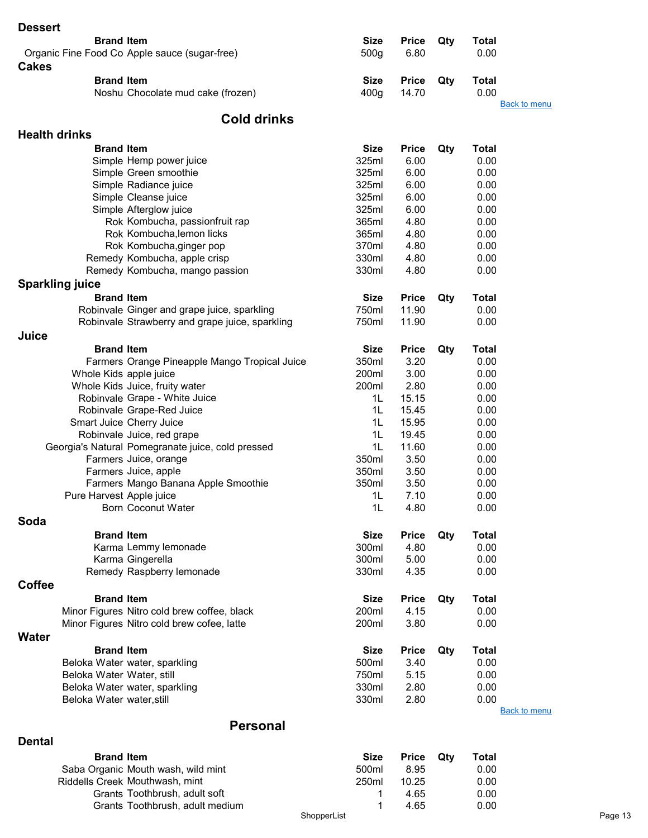| <b>Dessert</b>            |                                                   |                  |              |     |                     |
|---------------------------|---------------------------------------------------|------------------|--------------|-----|---------------------|
| <b>Brand Item</b>         |                                                   | <b>Size</b>      | <b>Price</b> | Qty | <b>Total</b>        |
|                           | Organic Fine Food Co Apple sauce (sugar-free)     | 500 <sub>g</sub> | 6.80         |     | 0.00                |
|                           |                                                   |                  |              |     |                     |
| <b>Cakes</b>              |                                                   |                  |              |     |                     |
| <b>Brand Item</b>         |                                                   | <b>Size</b>      | <b>Price</b> | Qty | <b>Total</b>        |
|                           | Noshu Chocolate mud cake (frozen)                 | 400 <sub>g</sub> | 14.70        |     | 0.00                |
|                           |                                                   |                  |              |     | <b>Back to menu</b> |
|                           | <b>Cold drinks</b>                                |                  |              |     |                     |
| <b>Health drinks</b>      |                                                   |                  |              |     |                     |
| <b>Brand Item</b>         |                                                   |                  |              |     |                     |
|                           |                                                   | <b>Size</b>      | <b>Price</b> | Qty | <b>Total</b>        |
|                           | Simple Hemp power juice                           | 325ml            | 6.00         |     | 0.00                |
|                           | Simple Green smoothie                             | 325ml            | 6.00         |     | 0.00                |
|                           | Simple Radiance juice                             | 325ml            | 6.00         |     | 0.00                |
|                           | Simple Cleanse juice                              | 325ml            | 6.00         |     | 0.00                |
|                           | Simple Afterglow juice                            | 325ml            | 6.00         |     | 0.00                |
|                           | Rok Kombucha, passionfruit rap                    | 365ml            | 4.80         |     | 0.00                |
|                           | Rok Kombucha, lemon licks                         | 365ml            | 4.80         |     | 0.00                |
|                           | Rok Kombucha, ginger pop                          | 370ml            | 4.80         |     | 0.00                |
|                           | Remedy Kombucha, apple crisp                      | 330ml            | 4.80         |     | 0.00                |
|                           | Remedy Kombucha, mango passion                    | 330ml            | 4.80         |     | 0.00                |
| <b>Sparkling juice</b>    |                                                   |                  |              |     |                     |
| <b>Brand Item</b>         |                                                   | <b>Size</b>      | <b>Price</b> | Qty | Total               |
|                           | Robinvale Ginger and grape juice, sparkling       | 750ml            | 11.90        |     | 0.00                |
|                           | Robinvale Strawberry and grape juice, sparkling   | 750ml            | 11.90        |     | 0.00                |
| Juice                     |                                                   |                  |              |     |                     |
| <b>Brand Item</b>         |                                                   | <b>Size</b>      |              |     | <b>Total</b>        |
|                           |                                                   |                  | <b>Price</b> | Qty |                     |
|                           | Farmers Orange Pineapple Mango Tropical Juice     | 350ml            | 3.20         |     | 0.00                |
|                           | Whole Kids apple juice                            | 200ml            | 3.00         |     | 0.00                |
|                           | Whole Kids Juice, fruity water                    | 200ml            | 2.80         |     | 0.00                |
|                           | Robinvale Grape - White Juice                     | 1L               | 15.15        |     | 0.00                |
|                           | Robinvale Grape-Red Juice                         | 1L               | 15.45        |     | 0.00                |
|                           | Smart Juice Cherry Juice                          | 1L               | 15.95        |     | 0.00                |
|                           | Robinvale Juice, red grape                        | 1 <sub>L</sub>   | 19.45        |     | 0.00                |
|                           | Georgia's Natural Pomegranate juice, cold pressed | 1L               | 11.60        |     | 0.00                |
|                           | Farmers Juice, orange                             | 350ml            | 3.50         |     | 0.00                |
|                           | Farmers Juice, apple                              | 350ml            | 3.50         |     | 0.00                |
|                           | Farmers Mango Banana Apple Smoothie               | 350ml            | 3.50         |     | 0.00                |
|                           | Pure Harvest Apple juice                          | 1L               | 7.10         |     | 0.00                |
|                           | <b>Born Coconut Water</b>                         | 1 <sub>L</sub>   | 4.80         |     | 0.00                |
| Soda                      |                                                   |                  |              |     |                     |
| <b>Brand Item</b>         |                                                   | <b>Size</b>      | <b>Price</b> | Qty | <b>Total</b>        |
|                           | Karma Lemmy lemonade                              | 300ml            | 4.80         |     | 0.00                |
|                           | Karma Gingerella                                  | 300ml            | 5.00         |     | 0.00                |
|                           | Remedy Raspberry lemonade                         | 330ml            | 4.35         |     | 0.00                |
| <b>Coffee</b>             |                                                   |                  |              |     |                     |
| <b>Brand Item</b>         |                                                   |                  |              |     |                     |
|                           |                                                   | <b>Size</b>      | <b>Price</b> | Qty | <b>Total</b>        |
|                           | Minor Figures Nitro cold brew coffee, black       | 200ml            | 4.15         |     | 0.00                |
|                           | Minor Figures Nitro cold brew cofee, latte        | 200ml            | 3.80         |     | 0.00                |
| <b>Water</b>              |                                                   |                  |              |     |                     |
| <b>Brand Item</b>         |                                                   | <b>Size</b>      | <b>Price</b> | Qty | <b>Total</b>        |
|                           | Beloka Water water, sparkling                     | 500ml            | 3.40         |     | 0.00                |
| Beloka Water Water, still |                                                   | 750ml            | 5.15         |     | 0.00                |
|                           | Beloka Water water, sparkling                     | 330ml            | 2.80         |     | 0.00                |
| Beloka Water water, still |                                                   | 330ml            | 2.80         |     | 0.00                |
|                           |                                                   |                  |              |     | <b>Back to menu</b> |
|                           | <b>Personal</b>                                   |                  |              |     |                     |
| <b>Dental</b>             |                                                   |                  |              |     |                     |
|                           |                                                   |                  |              |     |                     |

| <b>Brand Item</b>                  | <b>Size</b> | <b>Price Qty</b> | Total |         |
|------------------------------------|-------------|------------------|-------|---------|
| Saba Organic Mouth wash, wild mint | 500ml       | 8.95             | 0.00  |         |
| Riddells Creek Mouthwash, mint     | 250ml       | 10.25            | 0.00  |         |
| Grants Toothbrush, adult soft      |             | 4.65             | 0.00  |         |
| Grants Toothbrush, adult medium    |             | 4.65             | 0.00  |         |
|                                    | ShopperList |                  |       | Page 13 |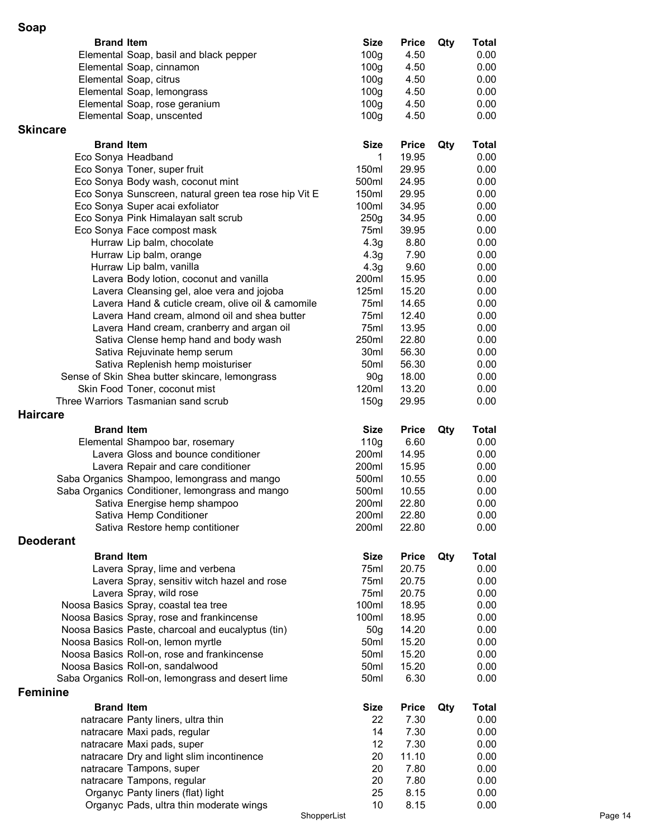| <b>Brand Item</b>  |                                                                                   | <b>Size</b>      | <b>Price</b>   | Qty | <b>Total</b> |
|--------------------|-----------------------------------------------------------------------------------|------------------|----------------|-----|--------------|
|                    | Elemental Soap, basil and black pepper                                            | 100 <sub>g</sub> | 4.50           |     | 0.00         |
|                    | Elemental Soap, cinnamon                                                          | 100 <sub>g</sub> | 4.50           |     | 0.00         |
|                    | Elemental Soap, citrus                                                            | 100 <sub>g</sub> | 4.50           |     | 0.00         |
|                    | Elemental Soap, lemongrass                                                        | 100 <sub>g</sub> | 4.50           |     | 0.00         |
|                    | Elemental Soap, rose geranium                                                     | 100 <sub>g</sub> | 4.50           |     | 0.00         |
|                    | Elemental Soap, unscented                                                         | 100 <sub>g</sub> | 4.50           |     | 0.00         |
| <b>Skincare</b>    |                                                                                   |                  |                |     |              |
| <b>Brand Item</b>  |                                                                                   | <b>Size</b>      | <b>Price</b>   | Qty | <b>Total</b> |
| Eco Sonya Headband |                                                                                   | 1                | 19.95          |     | 0.00         |
|                    | Eco Sonya Toner, super fruit                                                      | 150ml            | 29.95          |     | 0.00         |
|                    | Eco Sonya Body wash, coconut mint                                                 | 500ml            | 24.95          |     | 0.00         |
|                    | Eco Sonya Sunscreen, natural green tea rose hip Vit E                             | 150ml            | 29.95          |     | 0.00         |
|                    | Eco Sonya Super acai exfoliator                                                   | 100ml            | 34.95          |     | 0.00         |
|                    | Eco Sonya Pink Himalayan salt scrub                                               | 250g             | 34.95          |     | 0.00         |
|                    | Eco Sonya Face compost mask                                                       | 75ml             | 39.95          |     | 0.00         |
|                    | Hurraw Lip balm, chocolate                                                        | 4.3 <sub>g</sub> | 8.80           |     | 0.00         |
|                    | Hurraw Lip balm, orange                                                           | 4.3 <sub>g</sub> | 7.90           |     | 0.00         |
|                    | Hurraw Lip balm, vanilla                                                          | 4.3 <sub>g</sub> | 9.60           |     | 0.00         |
|                    | Lavera Body lotion, coconut and vanilla                                           | 200ml            | 15.95          |     | 0.00         |
|                    | Lavera Cleansing gel, aloe vera and jojoba                                        | 125ml            | 15.20          |     | 0.00         |
|                    | Lavera Hand & cuticle cream, olive oil & camomile                                 | 75ml             | 14.65          |     | 0.00         |
|                    | Lavera Hand cream, almond oil and shea butter                                     | 75ml             | 12.40          |     | 0.00         |
|                    | Lavera Hand cream, cranberry and argan oil                                        | 75ml             | 13.95          |     | 0.00         |
|                    | Sativa Clense hemp hand and body wash                                             | 250ml            | 22.80          |     | 0.00         |
|                    | Sativa Rejuvinate hemp serum                                                      | 30ml             | 56.30          |     | 0.00         |
|                    | Sativa Replenish hemp moisturiser                                                 | 50 <sub>ml</sub> | 56.30          |     | 0.00         |
|                    | Sense of Skin Shea butter skincare, lemongrass                                    | 90 <sub>g</sub>  | 18.00          |     | 0.00         |
|                    | Skin Food Toner, coconut mist                                                     | 120ml            | 13.20          |     | 0.00         |
|                    | Three Warriors Tasmanian sand scrub                                               | 150g             | 29.95          |     | 0.00         |
| <b>Haircare</b>    |                                                                                   |                  |                |     |              |
| <b>Brand Item</b>  |                                                                                   | <b>Size</b>      | <b>Price</b>   | Qty | <b>Total</b> |
|                    | Elemental Shampoo bar, rosemary                                                   | 110g             | 6.60           |     | 0.00         |
|                    | Lavera Gloss and bounce conditioner                                               | 200ml            | 14.95          |     | 0.00         |
|                    | Lavera Repair and care conditioner                                                | 200ml            | 15.95          |     | 0.00         |
|                    | Saba Organics Shampoo, lemongrass and mango                                       | 500ml            | 10.55          |     | 0.00         |
|                    | Saba Organics Conditioner, lemongrass and mango                                   | 500ml            | 10.55          |     | 0.00         |
|                    | Sativa Energise hemp shampoo                                                      | 200ml            | 22.80          |     | 0.00         |
|                    |                                                                                   |                  |                |     |              |
|                    | Sativa Hemp Conditioner                                                           | 200ml            | 22.80          |     | 0.00         |
|                    | Sativa Restore hemp contitioner                                                   | 200ml            | 22.80          |     | 0.00         |
| <b>Deoderant</b>   |                                                                                   |                  |                |     |              |
|                    |                                                                                   |                  |                |     |              |
| <b>Brand Item</b>  |                                                                                   | <b>Size</b>      | <b>Price</b>   | Qty | <b>Total</b> |
|                    | Lavera Spray, lime and verbena                                                    | 75ml<br>75ml     | 20.75          |     | 0.00         |
|                    | Lavera Spray, sensitiv witch hazel and rose                                       |                  | 20.75          |     | 0.00         |
|                    | Lavera Spray, wild rose                                                           | 75ml<br>100ml    | 20.75<br>18.95 |     | 0.00<br>0.00 |
|                    | Noosa Basics Spray, coastal tea tree<br>Noosa Basics Spray, rose and frankincense | 100ml            | 18.95          |     | 0.00         |
|                    | Noosa Basics Paste, charcoal and eucalyptus (tin)                                 | 50 <sub>g</sub>  | 14.20          |     | 0.00         |
|                    | Noosa Basics Roll-on, lemon myrtle                                                | 50ml             | 15.20          |     | 0.00         |
|                    | Noosa Basics Roll-on, rose and frankincense                                       | 50ml             | 15.20          |     | 0.00         |
|                    | Noosa Basics Roll-on, sandalwood                                                  | 50 <sub>ml</sub> | 15.20          |     | 0.00         |
|                    | Saba Organics Roll-on, lemongrass and desert lime                                 | 50 <sub>ml</sub> | 6.30           |     | 0.00         |
| <b>Feminine</b>    |                                                                                   |                  |                |     |              |
|                    |                                                                                   |                  |                |     |              |
| <b>Brand Item</b>  |                                                                                   | <b>Size</b>      | <b>Price</b>   | Qty | <b>Total</b> |
|                    | natracare Panty liners, ultra thin                                                | 22               | 7.30           |     | 0.00         |
|                    | natracare Maxi pads, regular                                                      | 14               | 7.30           |     | 0.00         |
|                    | natracare Maxi pads, super                                                        | 12               | 7.30           |     | 0.00         |
|                    | natracare Dry and light slim incontinence                                         | 20               | 11.10          |     | 0.00         |
|                    | natracare Tampons, super                                                          | 20               | 7.80           |     | 0.00         |
|                    | natracare Tampons, regular                                                        | 20<br>25         | 7.80           |     | 0.00         |
|                    | Organyc Panty liners (flat) light<br>Organyc Pads, ultra thin moderate wings      | 10               | 8.15<br>8.15   |     | 0.00<br>0.00 |